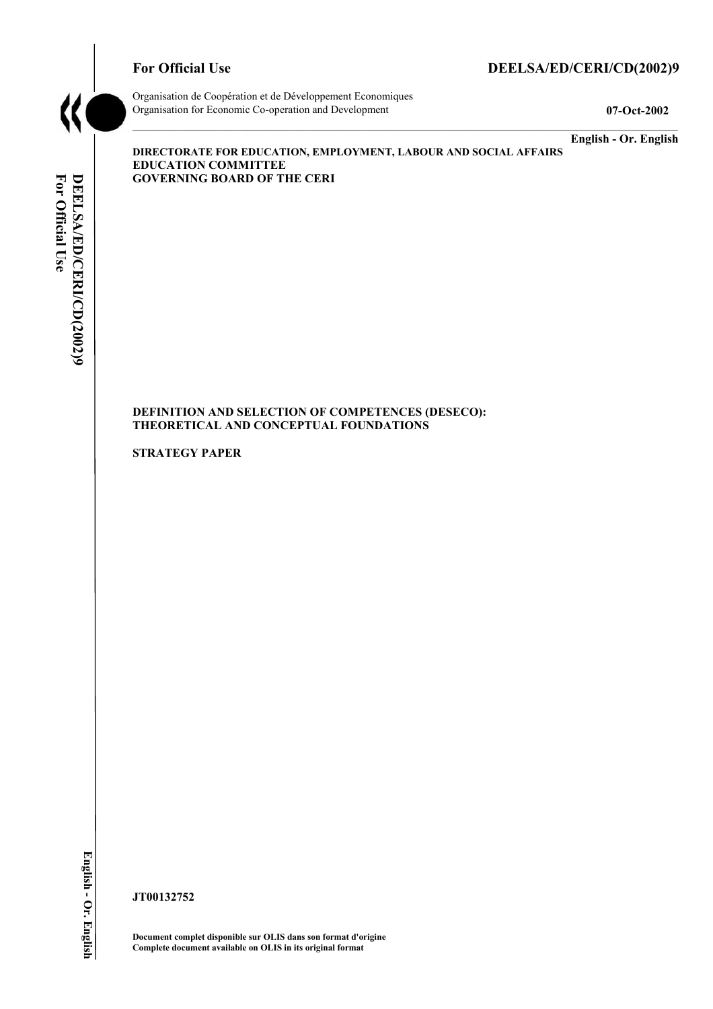# **For Official Use**

# DEELSA/ED/CERI/CD(2002)9



Organisation de Coopération et de Développement Economiques Organisation for Economic Co-operation and Development

07-Oct-2002

English - Or. English

DIRECTORATE FOR EDUCATION, EMPLOYMENT, LABOUR AND SOCIAL AFFAIRS **EDUCATION COMMITTEE GOVERNING BOARD OF THE CERI** 

### DEFINITION AND SELECTION OF COMPETENCES (DESECO): THEORETICAL AND CONCEPTUAL FOUNDATIONS

**STRATEGY PAPER** 

JT00132752

Document complet disponible sur OLIS dans son format d'origine Complete document available on OLIS in its original format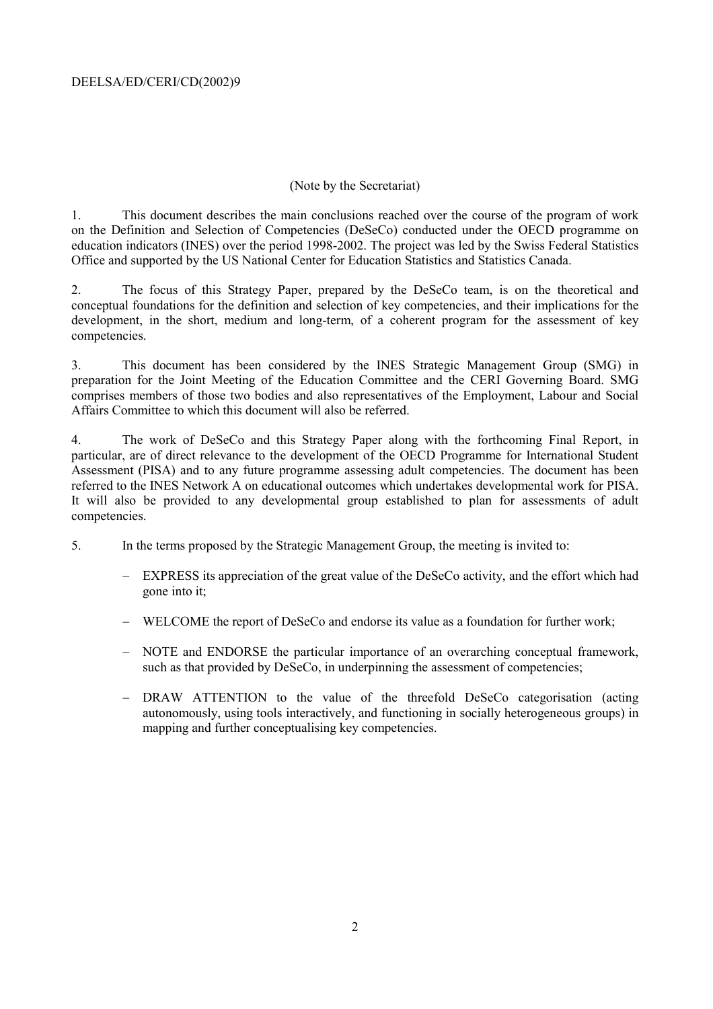### (Note by the Secretariat)

 $1.$ This document describes the main conclusions reached over the course of the program of work on the Definition and Selection of Competencies (DeSeCo) conducted under the OECD programme on education indicators (INES) over the period 1998-2002. The project was led by the Swiss Federal Statistics Office and supported by the US National Center for Education Statistics and Statistics Canada.

The focus of this Strategy Paper, prepared by the DeSeCo team, is on the theoretical and  $2.$ conceptual foundations for the definition and selection of key competencies, and their implications for the development, in the short, medium and long-term, of a coherent program for the assessment of key competencies.

This document has been considered by the INES Strategic Management Group (SMG) in  $\overline{3}$ . preparation for the Joint Meeting of the Education Committee and the CERI Governing Board. SMG comprises members of those two bodies and also representatives of the Employment, Labour and Social Affairs Committee to which this document will also be referred.

 $4.$ The work of DeSeCo and this Strategy Paper along with the forthcoming Final Report, in particular, are of direct relevance to the development of the OECD Programme for International Student Assessment (PISA) and to any future programme assessing adult competencies. The document has been referred to the INES Network A on educational outcomes which undertakes developmental work for PISA. It will also be provided to any developmental group established to plan for assessments of adult competencies.

- $5<sub>1</sub>$ In the terms proposed by the Strategic Management Group, the meeting is invited to:
	- EXPRESS its appreciation of the great value of the DeSeCo activity, and the effort which had gone into it:
	- WELCOME the report of DeSeCo and endorse its value as a foundation for further work;
	- NOTE and ENDORSE the particular importance of an overarching conceptual framework. such as that provided by DeSeCo, in underpinning the assessment of competencies:
	- DRAW ATTENTION to the value of the threefold DeSeCo categorisation (acting autonomously, using tools interactively, and functioning in socially heterogeneous groups) in mapping and further conceptualising key competencies.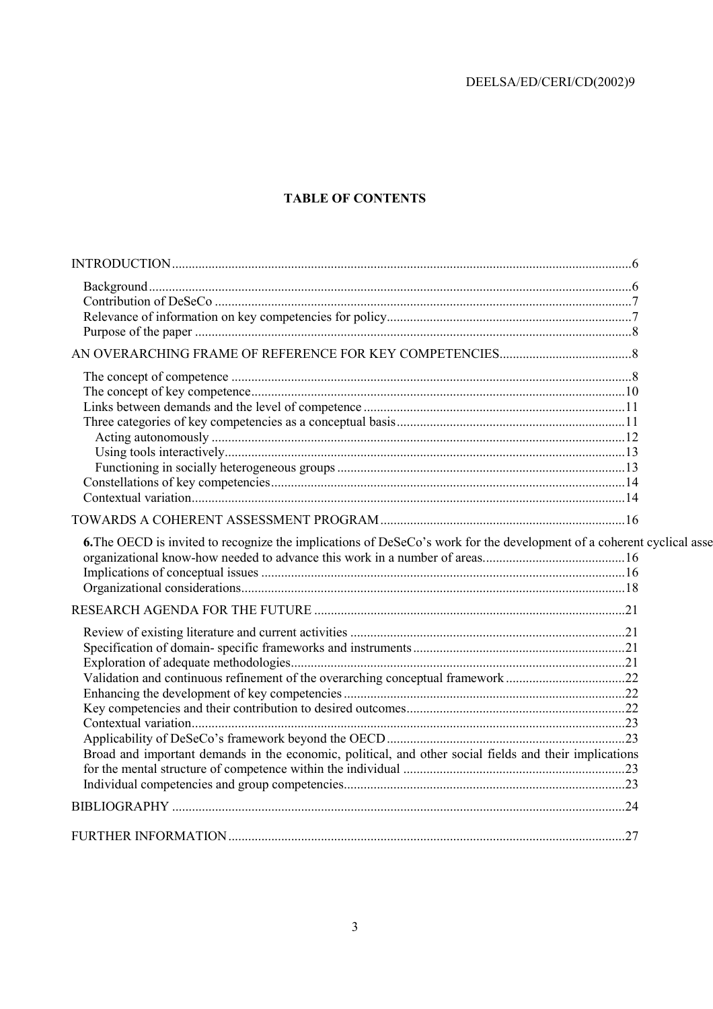# **TABLE OF CONTENTS**

| 6. The OECD is invited to recognize the implications of DeSeCo's work for the development of a coherent cyclical asse |  |
|-----------------------------------------------------------------------------------------------------------------------|--|
|                                                                                                                       |  |
|                                                                                                                       |  |
|                                                                                                                       |  |
|                                                                                                                       |  |
|                                                                                                                       |  |
|                                                                                                                       |  |
|                                                                                                                       |  |
| Validation and continuous refinement of the overarching conceptual framework 22                                       |  |
|                                                                                                                       |  |
|                                                                                                                       |  |
|                                                                                                                       |  |
|                                                                                                                       |  |
| Broad and important demands in the economic, political, and other social fields and their implications                |  |
|                                                                                                                       |  |
|                                                                                                                       |  |
|                                                                                                                       |  |
|                                                                                                                       |  |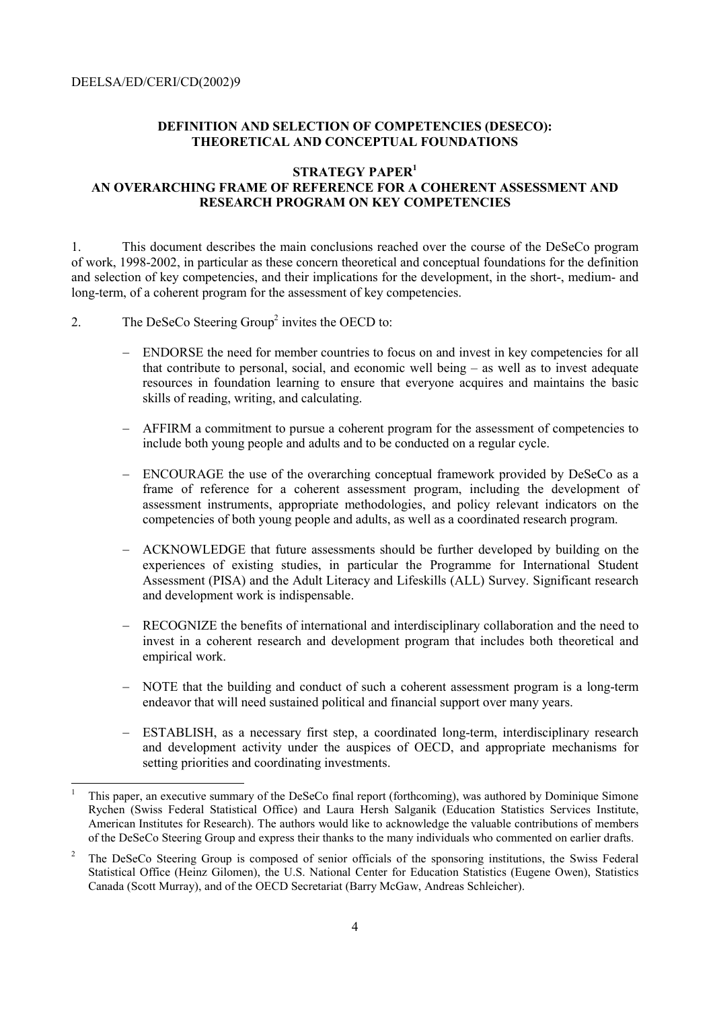## DEFINITION AND SELECTION OF COMPETENCIES (DESECO): **THEORETICAL AND CONCEPTUAL FOUNDATIONS**

### **STRATEGY PAPER<sup>1</sup>**

# AN OVERARCHING FRAME OF REFERENCE FOR A COHERENT ASSESSMENT AND **RESEARCH PROGRAM ON KEY COMPETENCIES**

 $\mathbf{1}$ This document describes the main conclusions reached over the course of the DeSeCo program of work, 1998-2002, in particular as these concern theoretical and conceptual foundations for the definition and selection of key competencies, and their implications for the development, in the short-, medium- and long-term, of a coherent program for the assessment of key competencies.

- The DeSeCo Steering Group<sup>2</sup> invites the OECD to:  $\overline{2}$ .
	- ENDORSE the need for member countries to focus on and invest in key competencies for all that contribute to personal, social, and economic well being  $-$  as well as to invest adequate resources in foundation learning to ensure that everyone acquires and maintains the basic skills of reading, writing, and calculating.
	- AFFIRM a commitment to pursue a coherent program for the assessment of competencies to include both young people and adults and to be conducted on a regular cycle.
	- ENCOURAGE the use of the overarching conceptual framework provided by DeSeCo as a frame of reference for a coherent assessment program, including the development of assessment instruments, appropriate methodologies, and policy relevant indicators on the competencies of both young people and adults, as well as a coordinated research program.
	- ACKNOWLEDGE that future assessments should be further developed by building on the experiences of existing studies, in particular the Programme for International Student Assessment (PISA) and the Adult Literacy and Lifeskills (ALL) Survey. Significant research and development work is indispensable.
	- RECOGNIZE the benefits of international and interdisciplinary collaboration and the need to invest in a coherent research and development program that includes both theoretical and empirical work
	- NOTE that the building and conduct of such a coherent assessment program is a long-term endeavor that will need sustained political and financial support over many years.
	- ESTABLISH, as a necessary first step, a coordinated long-term, interdisciplinary research and development activity under the auspices of OECD, and appropriate mechanisms for setting priorities and coordinating investments.

This paper, an executive summary of the DeSeCo final report (forthcoming), was authored by Dominique Simone Rychen (Swiss Federal Statistical Office) and Laura Hersh Salganik (Education Statistics Services Institute, American Institutes for Research). The authors would like to acknowledge the valuable contributions of members of the DeSeCo Steering Group and express their thanks to the many individuals who commented on earlier drafts.

 $\sqrt{2}$ The DeSeCo Steering Group is composed of senior officials of the sponsoring institutions, the Swiss Federal Statistical Office (Heinz Gilomen), the U.S. National Center for Education Statistics (Eugene Owen), Statistics Canada (Scott Murray), and of the OECD Secretariat (Barry McGaw, Andreas Schleicher).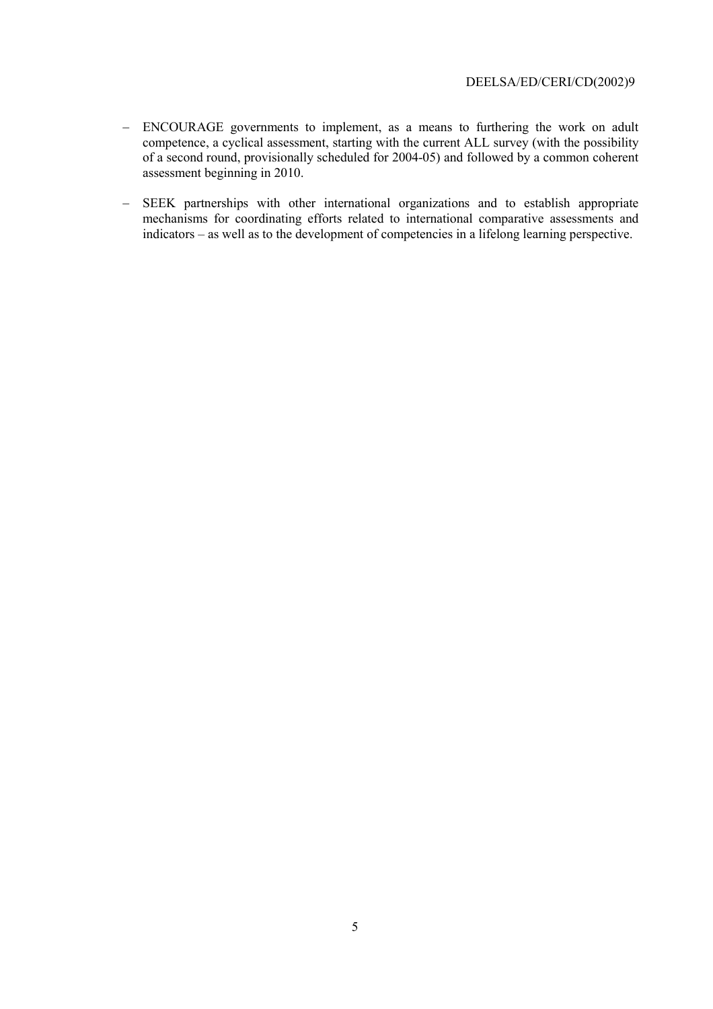- ENCOURAGE governments to implement, as a means to furthering the work on adult competence, a cyclical assessment, starting with the current ALL survey (with the possibility of a second round, provisionally scheduled for 2004-05) and followed by a common coherent assessment beginning in 2010.
- SEEK partnerships with other international organizations and to establish appropriate  $\overline{\phantom{0}}$ mechanisms for coordinating efforts related to international comparative assessments and indicators – as well as to the development of competencies in a lifelong learning perspective.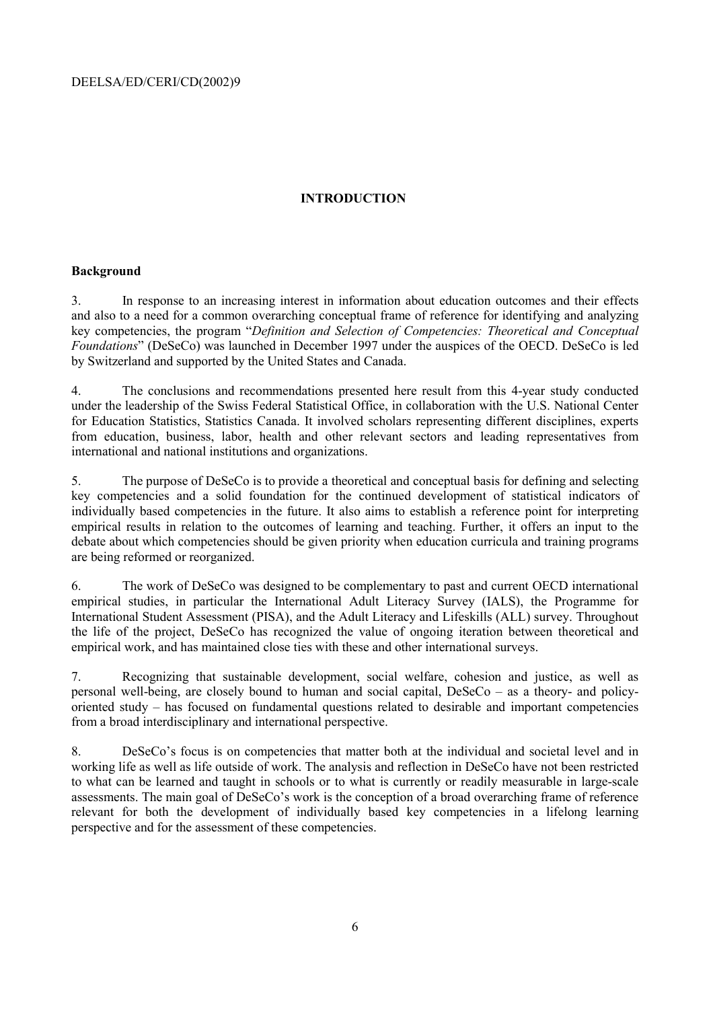# **INTRODUCTION**

#### **Background**

In response to an increasing interest in information about education outcomes and their effects  $\mathcal{E}$ and also to a need for a common overarching conceptual frame of reference for identifying and analyzing key competencies, the program "Definition and Selection of Competencies: Theoretical and Conceptual Foundations" (DeSeCo) was launched in December 1997 under the auspices of the OECD. DeSeCo is led by Switzerland and supported by the United States and Canada.

 $\overline{4}$ The conclusions and recommendations presented here result from this 4-year study conducted under the leadership of the Swiss Federal Statistical Office, in collaboration with the U.S. National Center for Education Statistics, Statistics Canada. It involved scholars representing different disciplines, experts from education, business, labor, health and other relevant sectors and leading representatives from international and national institutions and organizations.

 $5<sub>1</sub>$ The purpose of DeSeCo is to provide a theoretical and conceptual basis for defining and selecting key competencies and a solid foundation for the continued development of statistical indicators of individually based competencies in the future. It also aims to establish a reference point for interpreting empirical results in relation to the outcomes of learning and teaching. Further, it offers an input to the debate about which competencies should be given priority when education curricula and training programs are being reformed or reorganized.

The work of DeSeCo was designed to be complementary to past and current OECD international 6 empirical studies, in particular the International Adult Literacy Survey (IALS), the Programme for International Student Assessment (PISA), and the Adult Literacy and Lifeskills (ALL) survey. Throughout the life of the project, DeSeCo has recognized the value of ongoing iteration between theoretical and empirical work, and has maintained close ties with these and other international surveys.

Recognizing that sustainable development, social welfare, cohesion and justice, as well as  $7<sub>1</sub>$ personal well-being, are closely bound to human and social capital,  $DeSeCo - as a theory- and policy$ oriented study – has focused on fundamental questions related to desirable and important competencies from a broad interdisciplinary and international perspective.

DeSeCo's focus is on competencies that matter both at the individual and societal level and in 8. working life as well as life outside of work. The analysis and reflection in DeSeCo have not been restricted to what can be learned and taught in schools or to what is currently or readily measurable in large-scale assessments. The main goal of DeSeCo's work is the conception of a broad overarching frame of reference relevant for both the development of individually based key competencies in a lifelong learning perspective and for the assessment of these competencies.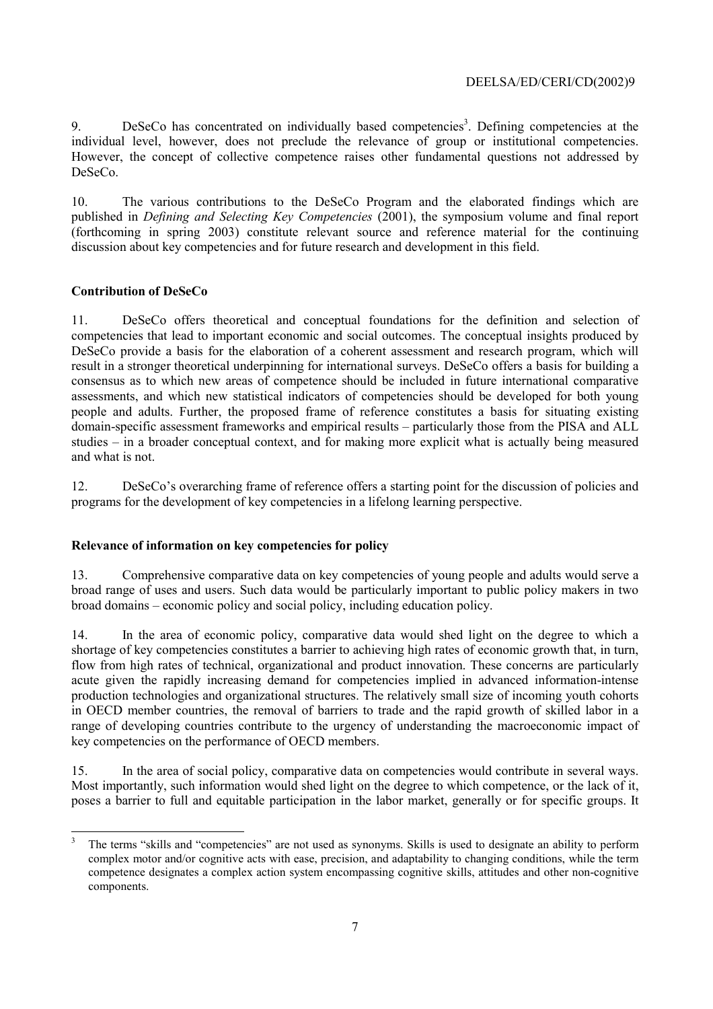DeSeCo has concentrated on individually based competencies<sup>3</sup>. Defining competencies at the 9. individual level, however, does not preclude the relevance of group or institutional competencies. However, the concept of collective competence raises other fundamental questions not addressed by DeSeCo.

 $10<sub>l</sub>$ The various contributions to the DeSeCo Program and the elaborated findings which are published in *Defining and Selecting Key Competencies* (2001), the symposium volume and final report (forthcoming in spring 2003) constitute relevant source and reference material for the continuing discussion about key competencies and for future research and development in this field.

### **Contribution of DeSeCo**

DeSeCo offers theoretical and conceptual foundations for the definition and selection of 11. competencies that lead to important economic and social outcomes. The conceptual insights produced by DeSeCo provide a basis for the elaboration of a coherent assessment and research program, which will result in a stronger theoretical underpinning for international surveys. DeSeCo offers a basis for building a consensus as to which new areas of competence should be included in future international comparative assessments, and which new statistical indicators of competencies should be developed for both young people and adults. Further, the proposed frame of reference constitutes a basis for situating existing domain-specific assessment frameworks and empirical results – particularly those from the PISA and ALL studies – in a broader conceptual context, and for making more explicit what is actually being measured and what is not

DeSeCo's overarching frame of reference offers a starting point for the discussion of policies and  $12.$ programs for the development of key competencies in a lifelong learning perspective.

### Relevance of information on key competencies for policy

13. Comprehensive comparative data on key competencies of young people and adults would serve a broad range of uses and users. Such data would be particularly important to public policy makers in two broad domains – economic policy and social policy, including education policy.

 $14$ In the area of economic policy, comparative data would shed light on the degree to which a shortage of key competencies constitutes a barrier to achieving high rates of economic growth that, in turn, flow from high rates of technical, organizational and product innovation. These concerns are particularly acute given the rapidly increasing demand for competencies implied in advanced information-intense production technologies and organizational structures. The relatively small size of incoming youth cohorts in OECD member countries, the removal of barriers to trade and the rapid growth of skilled labor in a range of developing countries contribute to the urgency of understanding the macroeconomic impact of key competencies on the performance of OECD members.

15 In the area of social policy, comparative data on competencies would contribute in several ways. Most importantly, such information would shed light on the degree to which competence, or the lack of it, poses a barrier to full and equitable participation in the labor market, generally or for specific groups. It

 $\overline{\mathbf{3}}$ The terms "skills and "competencies" are not used as synonyms. Skills is used to designate an ability to perform complex motor and/or cognitive acts with ease, precision, and adaptability to changing conditions, while the term competence designates a complex action system encompassing cognitive skills, attitudes and other non-cognitive components.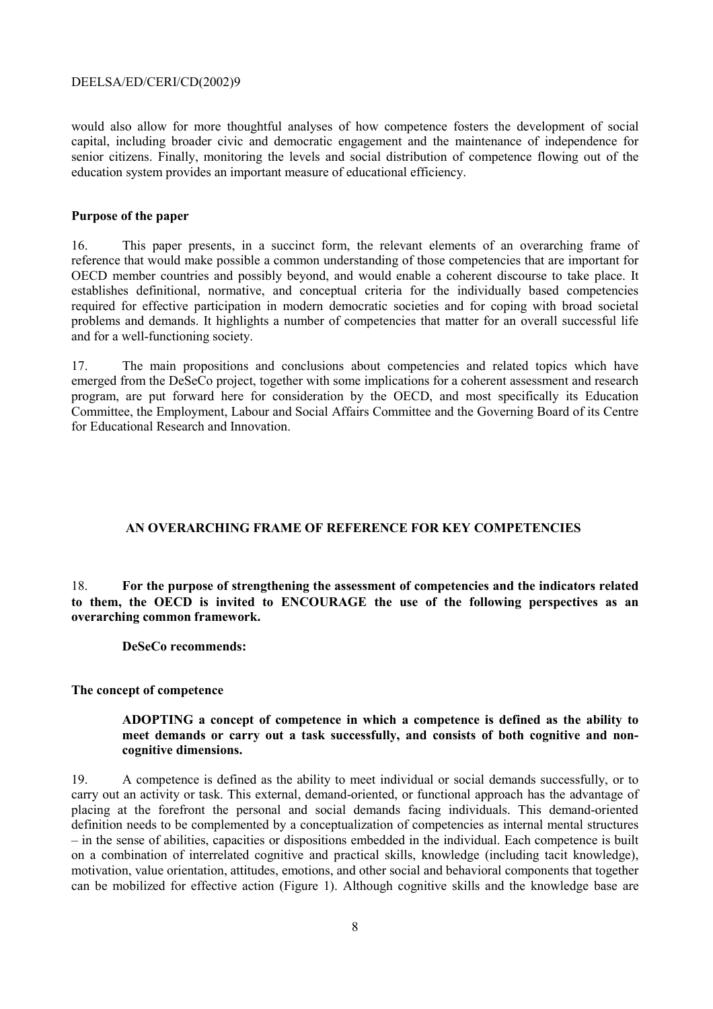would also allow for more thoughtful analyses of how competence fosters the development of social capital, including broader civic and democratic engagement and the maintenance of independence for senior citizens. Finally, monitoring the levels and social distribution of competence flowing out of the education system provides an important measure of educational efficiency.

#### Purpose of the paper

 $16<sup>1</sup>$ This paper presents, in a succinct form, the relevant elements of an overarching frame of reference that would make possible a common understanding of those competencies that are important for OECD member countries and possibly beyond, and would enable a coherent discourse to take place. It establishes definitional, normative, and conceptual criteria for the individually based competencies required for effective participation in modern democratic societies and for coping with broad societal problems and demands. It highlights a number of competencies that matter for an overall successful life and for a well-functioning society.

The main propositions and conclusions about competencies and related topics which have  $17<sub>1</sub>$ emerged from the DeSeCo project, together with some implications for a coherent assessment and research program, are put forward here for consideration by the OECD, and most specifically its Education Committee, the Employment, Labour and Social Affairs Committee and the Governing Board of its Centre for Educational Research and Innovation.

### AN OVERARCHING FRAME OF REFERENCE FOR KEY COMPETENCIES

For the purpose of strengthening the assessment of competencies and the indicators related 18 to them, the OECD is invited to ENCOURAGE the use of the following perspectives as an overarching common framework.

DeSeCo recommends:

### The concept of competence

### ADOPTING a concept of competence in which a competence is defined as the ability to meet demands or carry out a task successfully, and consists of both cognitive and noncognitive dimensions.

A competence is defined as the ability to meet individual or social demands successfully, or to 19. carry out an activity or task. This external, demand-oriented, or functional approach has the advantage of placing at the forefront the personal and social demands facing individuals. This demand-oriented definition needs to be complemented by a conceptualization of competencies as internal mental structures - in the sense of abilities, capacities or dispositions embedded in the individual. Each competence is built on a combination of interrelated cognitive and practical skills, knowledge (including tacit knowledge), motivation, value orientation, attitudes, emotions, and other social and behavioral components that together can be mobilized for effective action (Figure 1). Although cognitive skills and the knowledge base are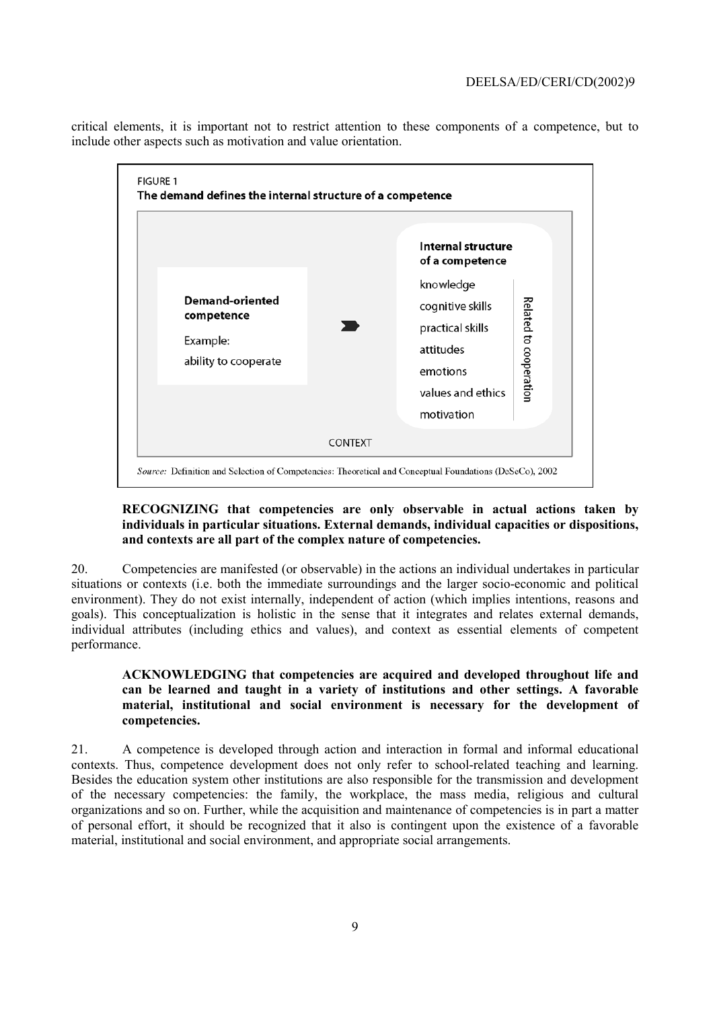critical elements, it is important not to restrict attention to these components of a competence, but to include other aspects such as motivation and value orientation.



## RECOGNIZING that competencies are only observable in actual actions taken by individuals in particular situations. External demands, individual capacities or dispositions, and contexts are all part of the complex nature of competencies.

20. Competencies are manifested (or observable) in the actions an individual undertakes in particular situations or contexts (i.e. both the immediate surroundings and the larger socio-economic and political environment). They do not exist internally, independent of action (which implies intentions, reasons and goals). This conceptualization is holistic in the sense that it integrates and relates external demands, individual attributes (including ethics and values), and context as essential elements of competent performance.

### ACKNOWLEDGING that competencies are acquired and developed throughout life and can be learned and taught in a variety of institutions and other settings. A favorable material, institutional and social environment is necessary for the development of competencies.

21. A competence is developed through action and interaction in formal and informal educational contexts. Thus, competence development does not only refer to school-related teaching and learning. Besides the education system other institutions are also responsible for the transmission and development of the necessary competencies: the family, the workplace, the mass media, religious and cultural organizations and so on. Further, while the acquisition and maintenance of competencies is in part a matter of personal effort, it should be recognized that it also is contingent upon the existence of a favorable material, institutional and social environment, and appropriate social arrangements.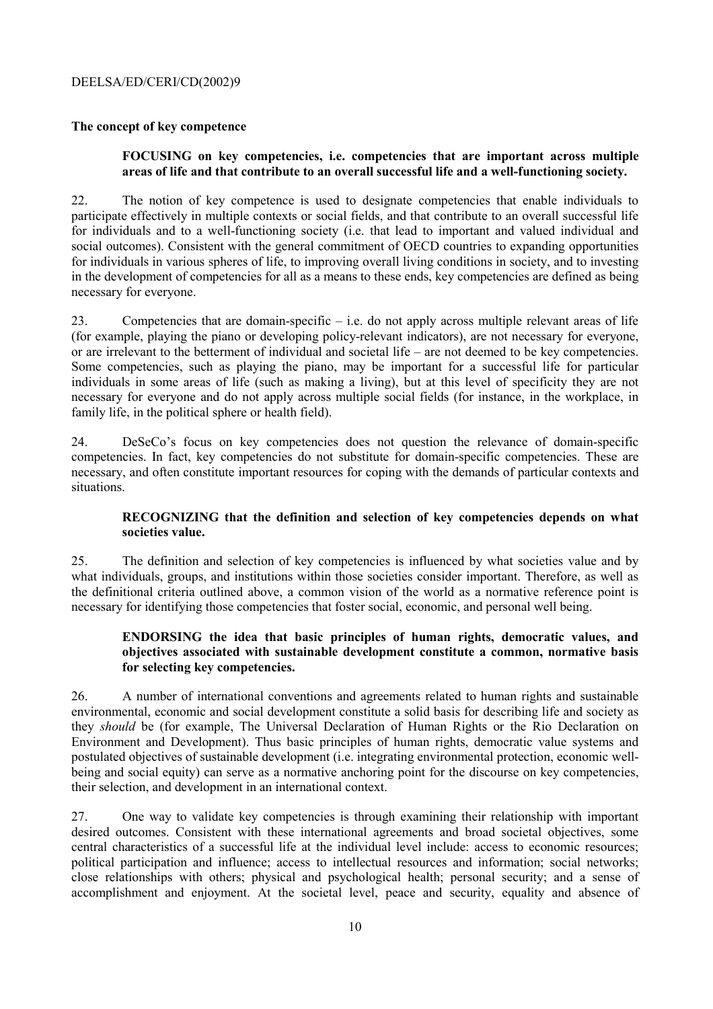### The concept of key competence

### FOCUSING on key competencies, i.e. competencies that are important across multiple areas of life and that contribute to an overall successful life and a well-functioning society.

 $22.$ The notion of key competence is used to designate competencies that enable individuals to participate effectively in multiple contexts or social fields, and that contribute to an overall successful life for individuals and to a well-functioning society (i.e. that lead to important and valued individual and social outcomes). Consistent with the general commitment of OECD countries to expanding opportunities for individuals in various spheres of life, to improving overall living conditions in society, and to investing in the development of competencies for all as a means to these ends, key competencies are defined as being necessary for everyone.

Competencies that are domain-specific  $-$  i.e. do not apply across multiple relevant areas of life 23 (for example, playing the piano or developing policy-relevant indicators), are not necessary for everyone. or are irrelevant to the betterment of individual and societal life – are not deemed to be key competencies. Some competencies, such as playing the piano, may be important for a successful life for particular individuals in some areas of life (such as making a living), but at this level of specificity they are not necessary for everyone and do not apply across multiple social fields (for instance, in the workplace, in family life, in the political sphere or health field).

 $24$ DeSeCo's focus on key competencies does not question the relevance of domain-specific competencies. In fact, key competencies do not substitute for domain-specific competencies. These are necessary, and often constitute important resources for coping with the demands of particular contexts and situations.

### RECOGNIZING that the definition and selection of key competencies depends on what societies value.

25 The definition and selection of key competencies is influenced by what societies value and by what individuals, groups, and institutions within those societies consider important. Therefore, as well as the definitional criteria outlined above, a common vision of the world as a normative reference point is necessary for identifying those competencies that foster social, economic, and personal well being.

### ENDORSING the idea that basic principles of human rights, democratic values, and objectives associated with sustainable development constitute a common, normative basis for selecting key competencies.

26. A number of international conventions and agreements related to human rights and sustainable environmental, economic and social development constitute a solid basis for describing life and society as they *should* be (for example, The Universal Declaration of Human Rights or the Rio Declaration on Environment and Development). Thus basic principles of human rights, democratic value systems and postulated objectives of sustainable development (i.e. integrating environmental protection, economic wellbeing and social equity) can serve as a normative anchoring point for the discourse on key competencies, their selection, and development in an international context.

27. One way to validate key competencies is through examining their relationship with important desired outcomes. Consistent with these international agreements and broad societal objectives, some central characteristics of a successful life at the individual level include: access to economic resources: political participation and influence; access to intellectual resources and information; social networks; close relationships with others; physical and psychological health; personal security; and a sense of accomplishment and enjoyment. At the societal level, peace and security, equality and absence of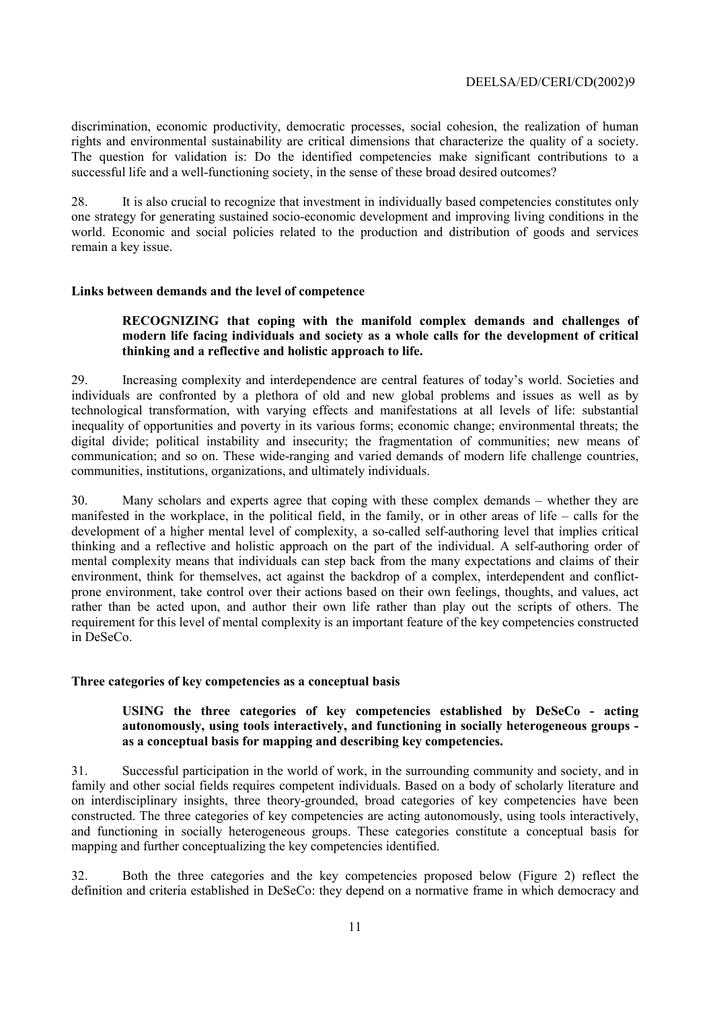discrimination, economic productivity, democratic processes, social cohesion, the realization of human rights and environmental sustainability are critical dimensions that characterize the quality of a society. The question for validation is: Do the identified competencies make significant contributions to a successful life and a well-functioning society, in the sense of these broad desired outcomes?

28. It is also crucial to recognize that investment in individually based competencies constitutes only one strategy for generating sustained socio-economic development and improving living conditions in the world. Economic and social policies related to the production and distribution of goods and services remain a key issue.

### Links between demands and the level of competence

### RECOGNIZING that coping with the manifold complex demands and challenges of modern life facing individuals and society as a whole calls for the development of critical thinking and a reflective and holistic approach to life.

29. Increasing complexity and interdependence are central features of today's world. Societies and individuals are confronted by a plethora of old and new global problems and issues as well as by technological transformation, with varying effects and manifestations at all levels of life: substantial inequality of opportunities and poverty in its various forms; economic change; environmental threats; the digital divide; political instability and insecurity; the fragmentation of communities; new means of communication; and so on. These wide-ranging and varied demands of modern life challenge countries, communities, institutions, organizations, and ultimately individuals.

Many scholars and experts agree that coping with these complex demands – whether they are  $30<sub>1</sub>$ manifested in the workplace, in the political field, in the family, or in other areas of life – calls for the development of a higher mental level of complexity, a so-called self-authoring level that implies critical thinking and a reflective and holistic approach on the part of the individual. A self-authoring order of mental complexity means that individuals can step back from the many expectations and claims of their environment, think for themselves, act against the backdrop of a complex, interdependent and conflictprone environment, take control over their actions based on their own feelings, thoughts, and values, act rather than be acted upon, and author their own life rather than play out the scripts of others. The requirement for this level of mental complexity is an important feature of the key competencies constructed in DeSeCo.

#### Three categories of key competencies as a conceptual basis

### USING the three categories of key competencies established by DeSeCo - acting autonomously, using tools interactively, and functioning in socially heterogeneous groups as a conceptual basis for mapping and describing key competencies.

Successful participation in the world of work, in the surrounding community and society, and in  $31$ family and other social fields requires competent individuals. Based on a body of scholarly literature and on interdisciplinary insights, three theory-grounded, broad categories of key competencies have been constructed. The three categories of key competencies are acting autonomously, using tools interactively, and functioning in socially heterogeneous groups. These categories constitute a conceptual basis for mapping and further conceptualizing the key competencies identified.

 $32$ Both the three categories and the key competencies proposed below (Figure 2) reflect the definition and criteria established in DeSeCo: they depend on a normative frame in which democracy and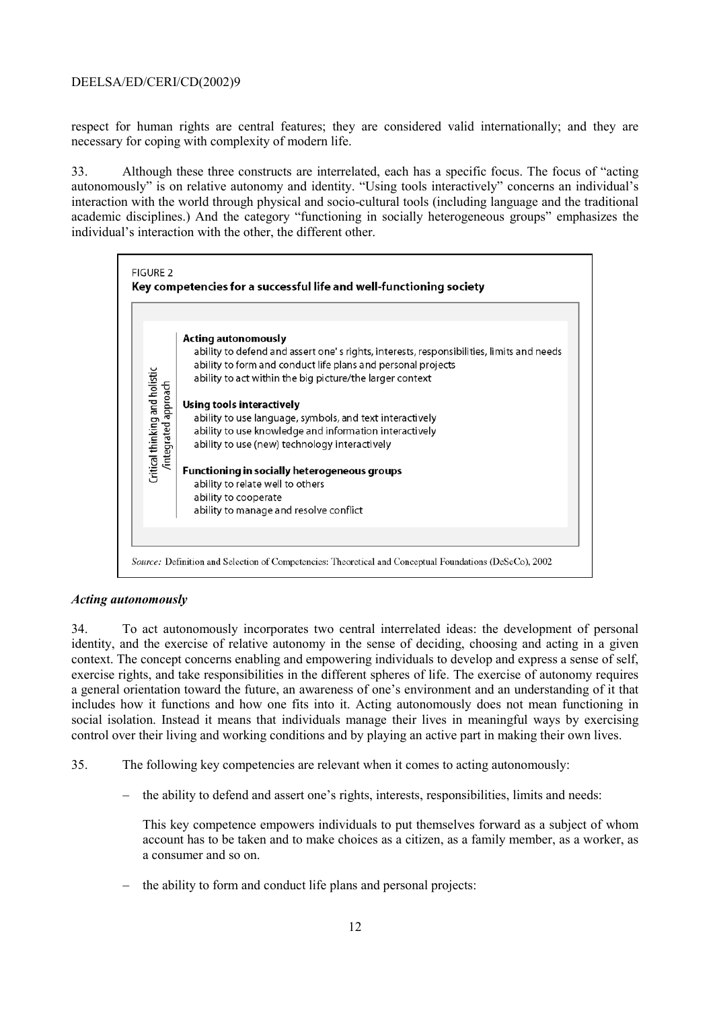respect for human rights are central features; they are considered valid internationally; and they are necessary for coping with complexity of modern life.

33. Although these three constructs are interrelated, each has a specific focus. The focus of "acting" autonomously" is on relative autonomy and identity. "Using tools interactively" concerns an individual's interaction with the world through physical and socio-cultural tools (including language and the traditional academic disciplines.) And the category "functioning in socially heterogeneous groups" emphasizes the individual's interaction with the other, the different other.



### **Acting autonomously**

 $34$ To act autonomously incorporates two central interrelated ideas: the development of personal identity, and the exercise of relative autonomy in the sense of deciding, choosing and acting in a given context. The concept concerns enabling and empowering individuals to develop and express a sense of self, exercise rights, and take responsibilities in the different spheres of life. The exercise of autonomy requires a general orientation toward the future, an awareness of one's environment and an understanding of it that includes how it functions and how one fits into it. Acting autonomously does not mean functioning in social isolation. Instead it means that individuals manage their lives in meaningful ways by exercising control over their living and working conditions and by playing an active part in making their own lives.

- $35.$ The following key competencies are relevant when it comes to acting autonomously:
	- the ability to defend and assert one's rights, interests, responsibilities, limits and needs:  $\overline{\phantom{0}}$

This key competence empowers individuals to put themselves forward as a subject of whom account has to be taken and to make choices as a citizen, as a family member, as a worker, as a consumer and so on

the ability to form and conduct life plans and personal projects: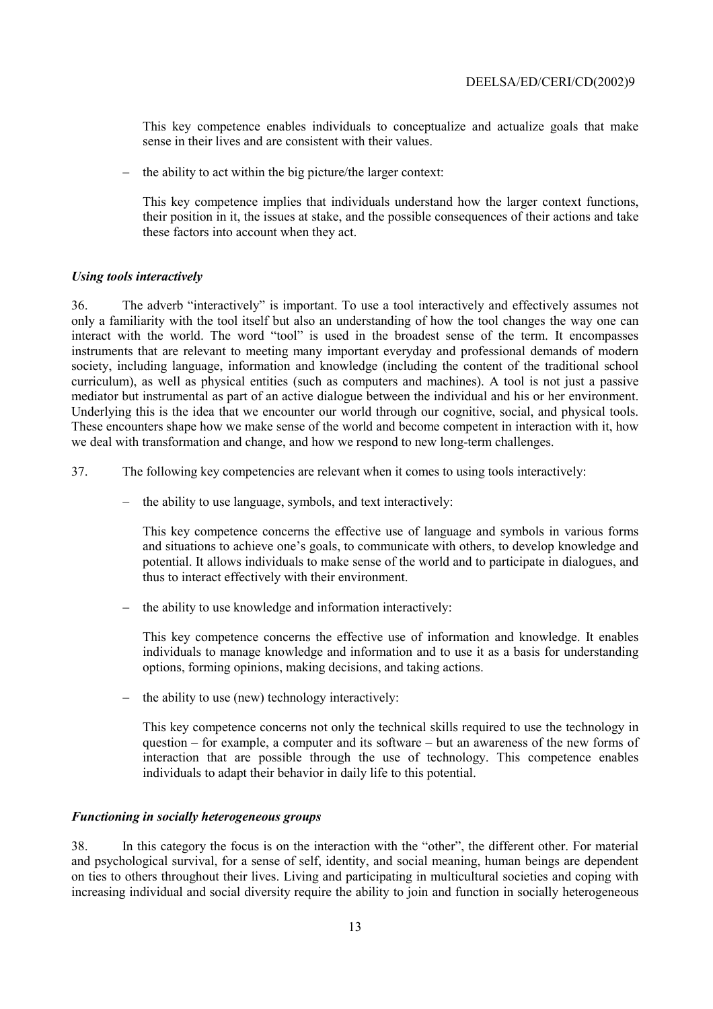This key competence enables individuals to conceptualize and actualize goals that make sense in their lives and are consistent with their values

the ability to act within the big picture/the larger context:

This key competence implies that individuals understand how the larger context functions. their position in it, the issues at stake, and the possible consequences of their actions and take these factors into account when they act.

### **Using tools interactively**

The adverb "interactively" is important. To use a tool interactively and effectively assumes not  $36.$ only a familiarity with the tool itself but also an understanding of how the tool changes the way one can interact with the world. The word "tool" is used in the broadest sense of the term. It encompasses instruments that are relevant to meeting many important everyday and professional demands of modern society, including language, information and knowledge (including the content of the traditional school curriculum), as well as physical entities (such as computers and machines). A tool is not just a passive mediator but instrumental as part of an active dialogue between the individual and his or her environment. Underlying this is the idea that we encounter our world through our cognitive, social, and physical tools. These encounters shape how we make sense of the world and become competent in interaction with it, how we deal with transformation and change, and how we respond to new long-term challenges.

- 37. The following key competencies are relevant when it comes to using tools interactively:
	- the ability to use language, symbols, and text interactively:

This key competence concerns the effective use of language and symbols in various forms and situations to achieve one's goals, to communicate with others, to develop knowledge and potential. It allows individuals to make sense of the world and to participate in dialogues, and thus to interact effectively with their environment.

- the ability to use knowledge and information interactively:

This key competence concerns the effective use of information and knowledge. It enables individuals to manage knowledge and information and to use it as a basis for understanding options, forming opinions, making decisions, and taking actions.

the ability to use (new) technology interactively:

This key competence concerns not only the technical skills required to use the technology in question – for example, a computer and its software – but an awareness of the new forms of interaction that are possible through the use of technology. This competence enables individuals to adapt their behavior in daily life to this potential.

#### Functioning in socially heterogeneous groups

In this category the focus is on the interaction with the "other", the different other. For material 38. and psychological survival, for a sense of self, identity, and social meaning, human beings are dependent on ties to others throughout their lives. Living and participating in multicultural societies and coping with increasing individual and social diversity require the ability to join and function in socially heterogeneous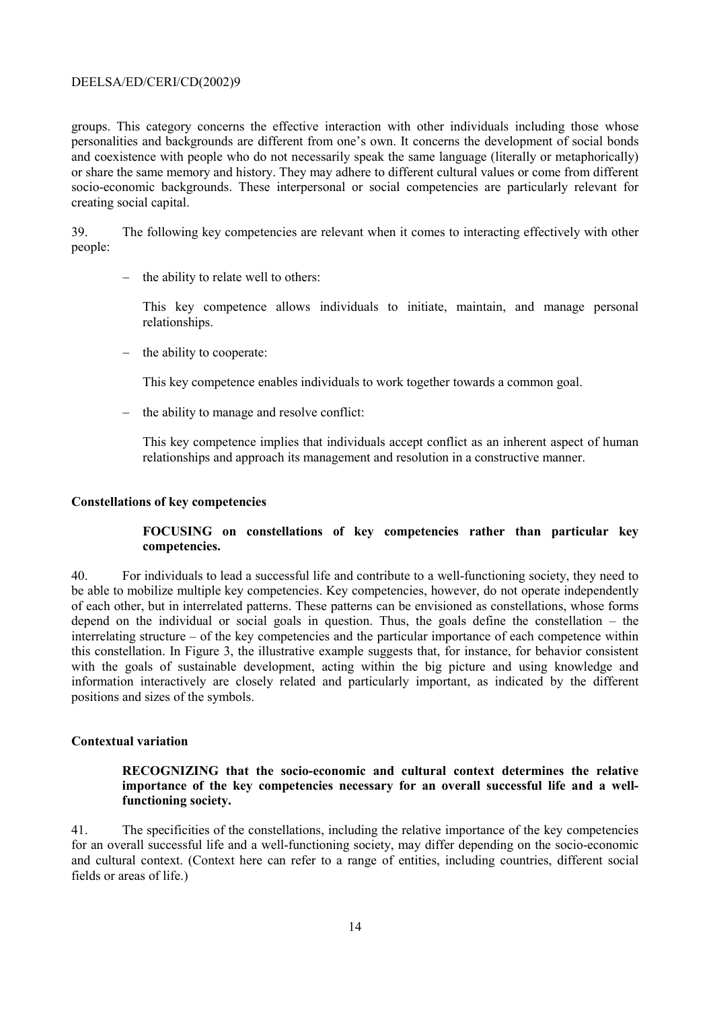groups. This category concerns the effective interaction with other individuals including those whose personalities and backgrounds are different from one's own. It concerns the development of social bonds and coexistence with people who do not necessarily speak the same language (literally or metaphorically) or share the same memory and history. They may adhere to different cultural values or come from different socio-economic backgrounds. These interpersonal or social competencies are particularly relevant for creating social capital.

39. The following key competencies are relevant when it comes to interacting effectively with other people:

- the ability to relate well to others:

This key competence allows individuals to initiate, maintain, and manage personal relationships.

 $-$  the ability to cooperate:

This key competence enables individuals to work together towards a common goal.

- the ability to manage and resolve conflict:

This key competence implies that individuals accept conflict as an inherent aspect of human relationships and approach its management and resolution in a constructive manner.

#### **Constellations of key competencies**

### FOCUSING on constellations of key competencies rather than particular key competencies.

40 For individuals to lead a successful life and contribute to a well-functioning society, they need to be able to mobilize multiple key competencies. Key competencies, however, do not operate independently of each other, but in interrelated patterns. These patterns can be envisioned as constellations, whose forms depend on the individual or social goals in question. Thus, the goals define the constellation  $-$  the interrelating structure – of the key competencies and the particular importance of each competence within this constellation. In Figure 3, the illustrative example suggests that, for instance, for behavior consistent with the goals of sustainable development, acting within the big picture and using knowledge and information interactively are closely related and particularly important, as indicated by the different positions and sizes of the symbols.

### **Contextual variation**

### RECOGNIZING that the socio-economic and cultural context determines the relative importance of the key competencies necessary for an overall successful life and a wellfunctioning society.

 $41.$ The specificities of the constellations, including the relative importance of the key competencies for an overall successful life and a well-functioning society, may differ depending on the socio-economic and cultural context. (Context here can refer to a range of entities, including countries, different social fields or areas of life.)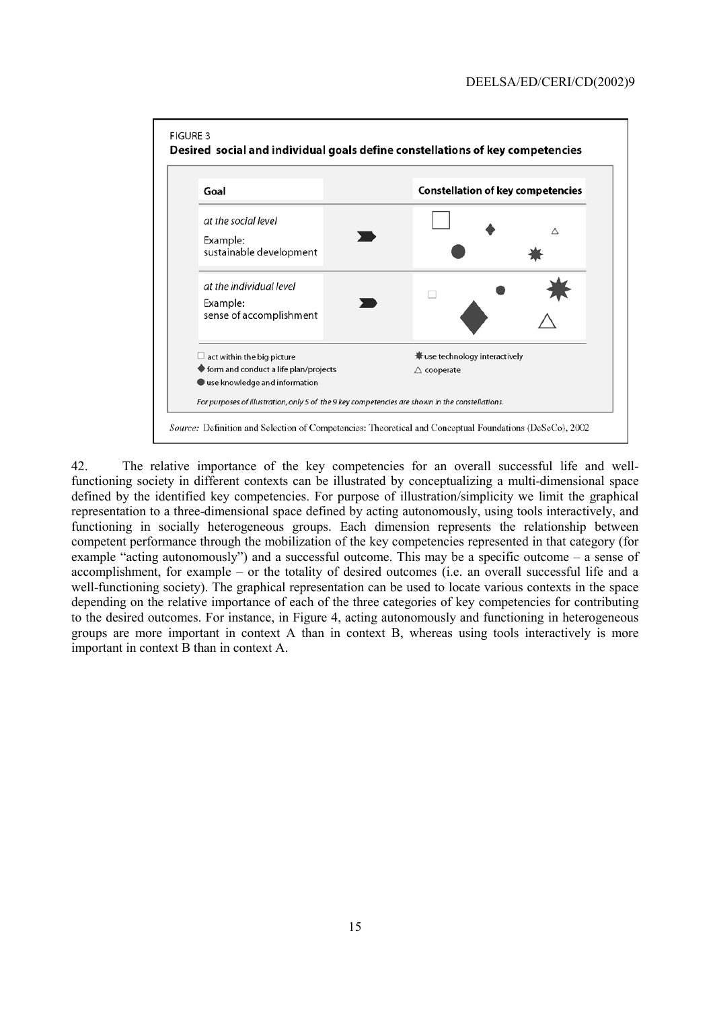

 $42$ The relative importance of the key competencies for an overall successful life and wellfunctioning society in different contexts can be illustrated by conceptualizing a multi-dimensional space defined by the identified key competencies. For purpose of illustration/simplicity we limit the graphical representation to a three-dimensional space defined by acting autonomously, using tools interactively, and functioning in socially heterogeneous groups. Each dimension represents the relationship between competent performance through the mobilization of the key competencies represented in that category (for example "acting autonomously") and a successful outcome. This may be a specific outcome  $-$  a sense of accomplishment, for example – or the totality of desired outcomes (i.e. an overall successful life and a well-functioning society). The graphical representation can be used to locate various contexts in the space depending on the relative importance of each of the three categories of key competencies for contributing to the desired outcomes. For instance, in Figure 4, acting autonomously and functioning in heterogeneous groups are more important in context A than in context B, whereas using tools interactively is more important in context B than in context A.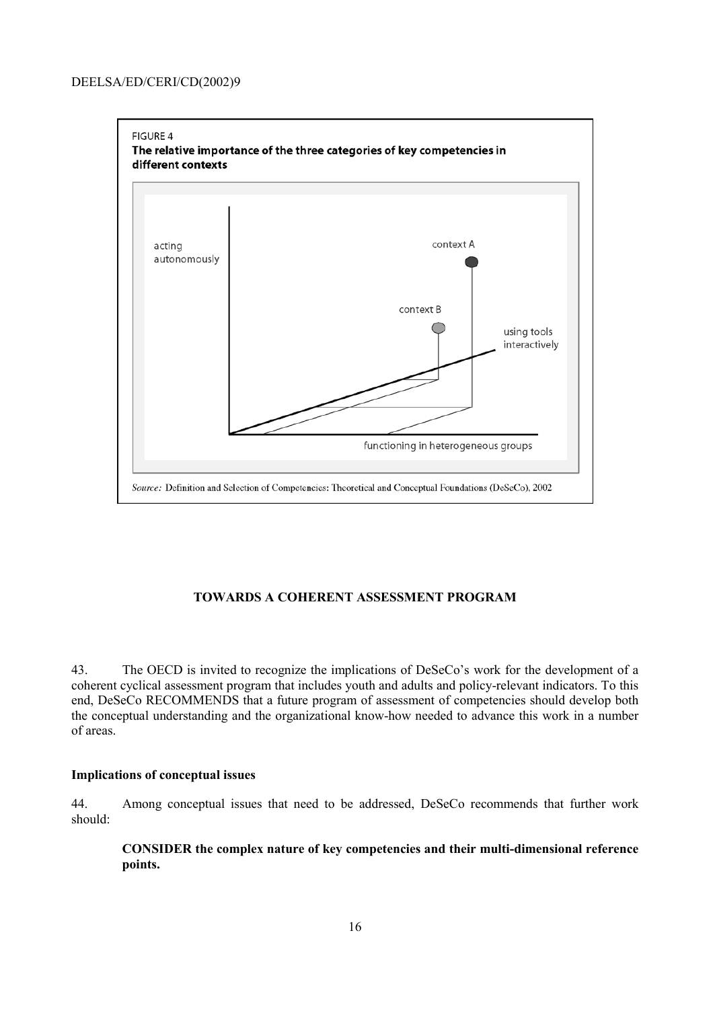

# **TOWARDS A COHERENT ASSESSMENT PROGRAM**

The OECD is invited to recognize the implications of DeSeCo's work for the development of a 43. coherent cyclical assessment program that includes youth and adults and policy-relevant indicators. To this end, DeSeCo RECOMMENDS that a future program of assessment of competencies should develop both the conceptual understanding and the organizational know-how needed to advance this work in a number of areas.

### **Implications of conceptual issues**

44. Among conceptual issues that need to be addressed, DeSeCo recommends that further work should:

CONSIDER the complex nature of key competencies and their multi-dimensional reference points.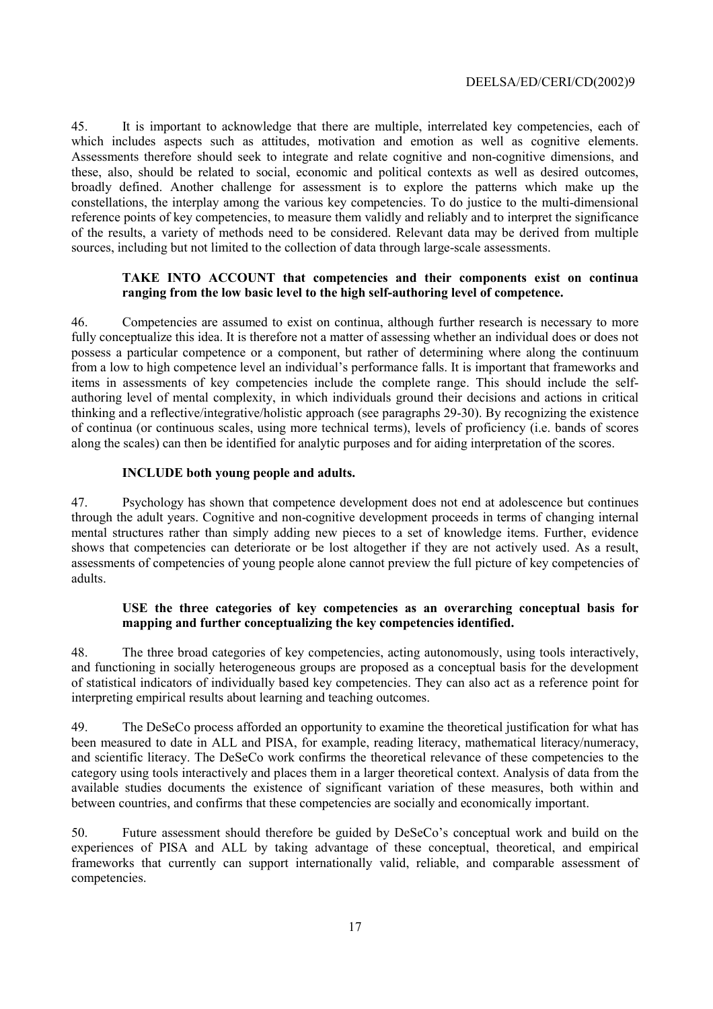It is important to acknowledge that there are multiple, interrelated key competencies, each of 45. which includes aspects such as attitudes, motivation and emotion as well as cognitive elements. Assessments therefore should seek to integrate and relate cognitive and non-cognitive dimensions, and these, also, should be related to social, economic and political contexts as well as desired outcomes, broadly defined. Another challenge for assessment is to explore the patterns which make up the constellations, the interplay among the various key competencies. To do justice to the multi-dimensional reference points of key competencies, to measure them validly and reliably and to interpret the significance of the results, a variety of methods need to be considered. Relevant data may be derived from multiple sources, including but not limited to the collection of data through large-scale assessments.

### TAKE INTO ACCOUNT that competencies and their components exist on continua ranging from the low basic level to the high self-authoring level of competence.

 $46.$ Competencies are assumed to exist on continua, although further research is necessary to more fully conceptualize this idea. It is therefore not a matter of assessing whether an individual does or does not possess a particular competence or a component, but rather of determining where along the continuum from a low to high competence level an individual's performance falls. It is important that frameworks and items in assessments of key competencies include the complete range. This should include the selfauthoring level of mental complexity, in which individuals ground their decisions and actions in critical thinking and a reflective/integrative/holistic approach (see paragraphs 29-30). By recognizing the existence of continua (or continuous scales, using more technical terms), levels of proficiency (i.e. bands of scores along the scales) can then be identified for analytic purposes and for aiding interpretation of the scores.

### **INCLUDE** both young people and adults.

47. Psychology has shown that competence development does not end at adolescence but continues through the adult years. Cognitive and non-cognitive development proceeds in terms of changing internal mental structures rather than simply adding new pieces to a set of knowledge items. Further, evidence shows that competencies can deteriorate or be lost altogether if they are not actively used. As a result, assessments of competencies of young people alone cannot preview the full picture of key competencies of adults

#### USE the three categories of key competencies as an overarching conceptual basis for mapping and further conceptualizing the key competencies identified.

The three broad categories of key competencies, acting autonomously, using tools interactively, 48 and functioning in socially heterogeneous groups are proposed as a conceptual basis for the development of statistical indicators of individually based key competencies. They can also act as a reference point for interpreting empirical results about learning and teaching outcomes.

49 The DeSeCo process afforded an opportunity to examine the theoretical justification for what has been measured to date in ALL and PISA, for example, reading literacy, mathematical literacy/numeracy, and scientific literacy. The DeSeCo work confirms the theoretical relevance of these competencies to the category using tools interactively and places them in a larger theoretical context. Analysis of data from the available studies documents the existence of significant variation of these measures, both within and between countries, and confirms that these competencies are socially and economically important.

Future assessment should therefore be guided by DeSeCo's conceptual work and build on the 50. experiences of PISA and ALL by taking advantage of these conceptual, theoretical, and empirical frameworks that currently can support internationally valid, reliable, and comparable assessment of competencies.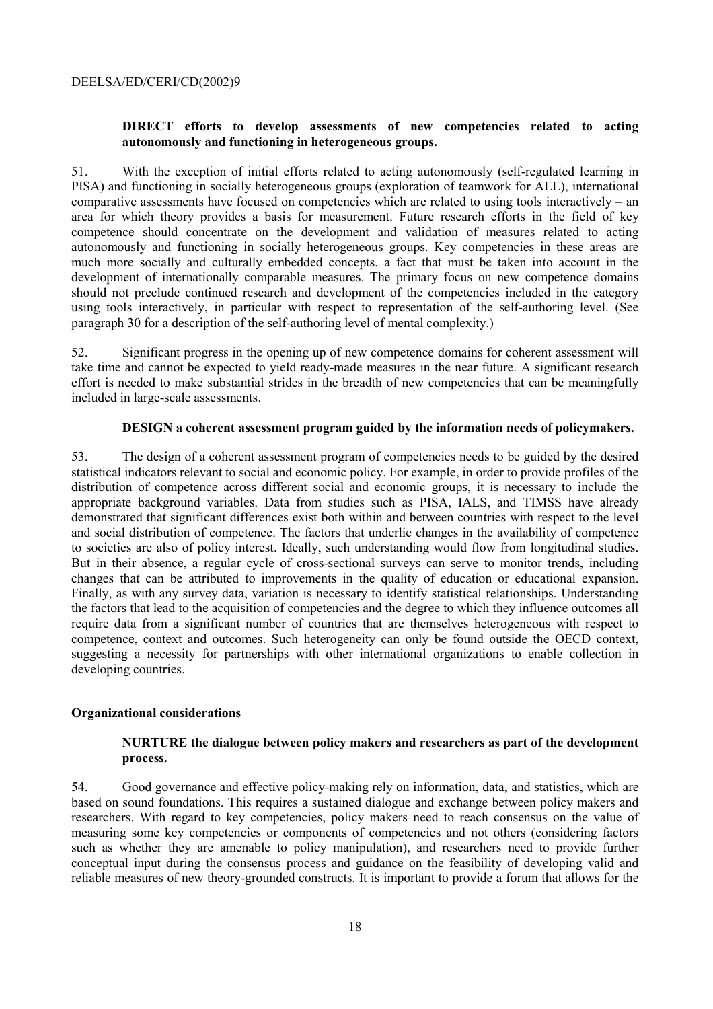### DIRECT efforts to develop assessments of new competencies related to acting autonomously and functioning in heterogeneous groups.

 $51.$ With the exception of initial efforts related to acting autonomously (self-regulated learning in PISA) and functioning in socially heterogeneous groups (exploration of teamwork for ALL), international comparative assessments have focused on competencies which are related to using tools interactively – an area for which theory provides a basis for measurement. Future research efforts in the field of key competence should concentrate on the development and validation of measures related to acting autonomously and functioning in socially heterogeneous groups. Key competencies in these areas are much more socially and culturally embedded concepts, a fact that must be taken into account in the development of internationally comparable measures. The primary focus on new competence domains should not preclude continued research and development of the competencies included in the category using tools interactively, in particular with respect to representation of the self-authoring level. (See paragraph 30 for a description of the self-authoring level of mental complexity.)

52. Significant progress in the opening up of new competence domains for coherent assessment will take time and cannot be expected to yield ready-made measures in the near future. A significant research effort is needed to make substantial strides in the breadth of new competencies that can be meaningfully included in large-scale assessments.

#### **DESIGN** a coherent assessment program guided by the information needs of policymakers.

53 The design of a coherent assessment program of competencies needs to be guided by the desired statistical indicators relevant to social and economic policy. For example, in order to provide profiles of the distribution of competence across different social and economic groups, it is necessary to include the appropriate background variables. Data from studies such as PISA, IALS, and TIMSS have already demonstrated that significant differences exist both within and between countries with respect to the level and social distribution of competence. The factors that underlie changes in the availability of competence to societies are also of policy interest. Ideally, such understanding would flow from longitudinal studies. But in their absence, a regular cycle of cross-sectional surveys can serve to monitor trends, including changes that can be attributed to improvements in the quality of education or educational expansion. Finally, as with any survey data, variation is necessary to identify statistical relationships. Understanding the factors that lead to the acquisition of competencies and the degree to which they influence outcomes all require data from a significant number of countries that are themselves heterogeneous with respect to competence, context and outcomes. Such heterogeneity can only be found outside the OECD context, suggesting a necessity for partnerships with other international organizations to enable collection in developing countries.

### **Organizational considerations**

#### NURTURE the dialogue between policy makers and researchers as part of the development process.

54. Good governance and effective policy-making rely on information, data, and statistics, which are based on sound foundations. This requires a sustained dialogue and exchange between policy makers and researchers. With regard to key competencies, policy makers need to reach consensus on the value of measuring some key competencies or components of competencies and not others (considering factors such as whether they are amenable to policy manipulation), and researchers need to provide further conceptual input during the consensus process and guidance on the feasibility of developing valid and reliable measures of new theory-grounded constructs. It is important to provide a forum that allows for the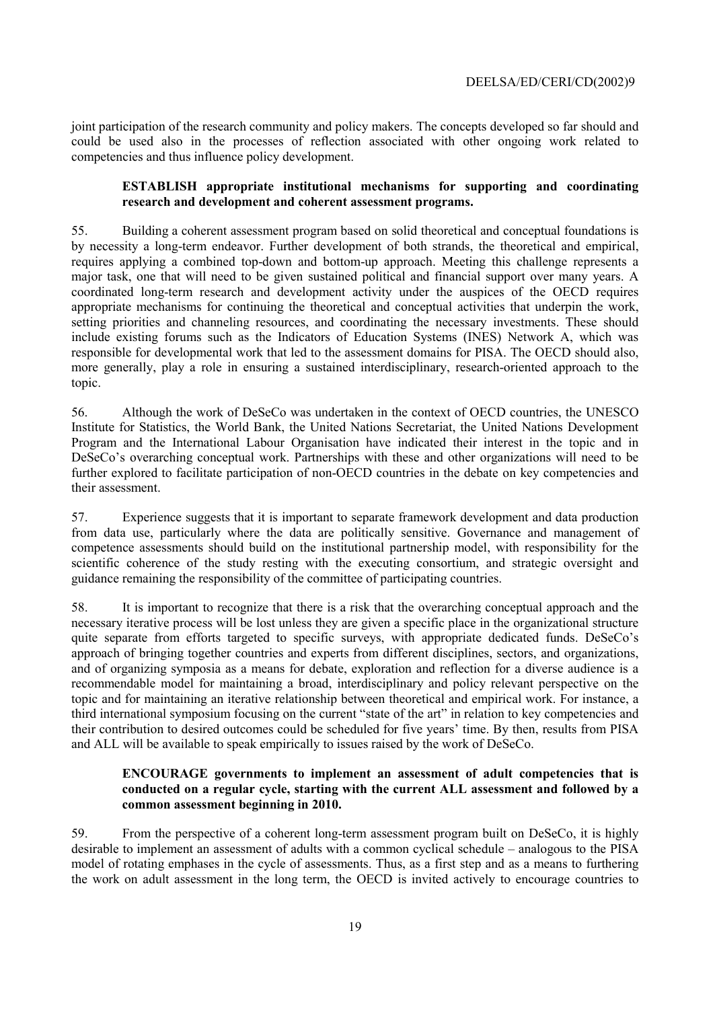joint participation of the research community and policy makers. The concepts developed so far should and could be used also in the processes of reflection associated with other ongoing work related to competencies and thus influence policy development.

#### **ESTABLISH** appropriate institutional mechanisms for supporting and coordinating research and development and coherent assessment programs.

55. Building a coherent assessment program based on solid theoretical and conceptual foundations is by necessity a long-term endeavor. Further development of both strands, the theoretical and empirical, requires applying a combined top-down and bottom-up approach. Meeting this challenge represents a major task, one that will need to be given sustained political and financial support over many years. A coordinated long-term research and development activity under the auspices of the OECD requires appropriate mechanisms for continuing the theoretical and conceptual activities that underpin the work, setting priorities and channeling resources, and coordinating the necessary investments. These should include existing forums such as the Indicators of Education Systems (INES) Network A, which was responsible for developmental work that led to the assessment domains for PISA. The OECD should also, more generally, play a role in ensuring a sustained interdisciplinary, research-oriented approach to the topic.

Although the work of DeSeCo was undertaken in the context of OECD countries, the UNESCO 56. Institute for Statistics, the World Bank, the United Nations Secretariat, the United Nations Development Program and the International Labour Organisation have indicated their interest in the topic and in DeSeCo's overarching conceptual work. Partnerships with these and other organizations will need to be further explored to facilitate participation of non-OECD countries in the debate on key competencies and their assessment.

57. Experience suggests that it is important to separate framework development and data production from data use, particularly where the data are politically sensitive. Governance and management of competence assessments should build on the institutional partnership model, with responsibility for the scientific coherence of the study resting with the executing consortium, and strategic oversight and guidance remaining the responsibility of the committee of participating countries.

58. It is important to recognize that there is a risk that the overarching conceptual approach and the necessary iterative process will be lost unless they are given a specific place in the organizational structure quite separate from efforts targeted to specific surveys, with appropriate dedicated funds. DeSeCo's approach of bringing together countries and experts from different disciplines, sectors, and organizations, and of organizing symposia as a means for debate, exploration and reflection for a diverse audience is a recommendable model for maintaining a broad, interdisciplinary and policy relevant perspective on the topic and for maintaining an iterative relationship between theoretical and empirical work. For instance, a third international symposium focusing on the current "state of the art" in relation to key competencies and their contribution to desired outcomes could be scheduled for five years' time. By then, results from PISA and ALL will be available to speak empirically to issues raised by the work of DeSeCo.

### **ENCOURAGE** governments to implement an assessment of adult competencies that is conducted on a regular cycle, starting with the current ALL assessment and followed by a common assessment beginning in 2010.

59. From the perspective of a coherent long-term assessment program built on DeSeCo, it is highly desirable to implement an assessment of adults with a common cyclical schedule – analogous to the PISA model of rotating emphases in the cycle of assessments. Thus, as a first step and as a means to furthering the work on adult assessment in the long term, the OECD is invited actively to encourage countries to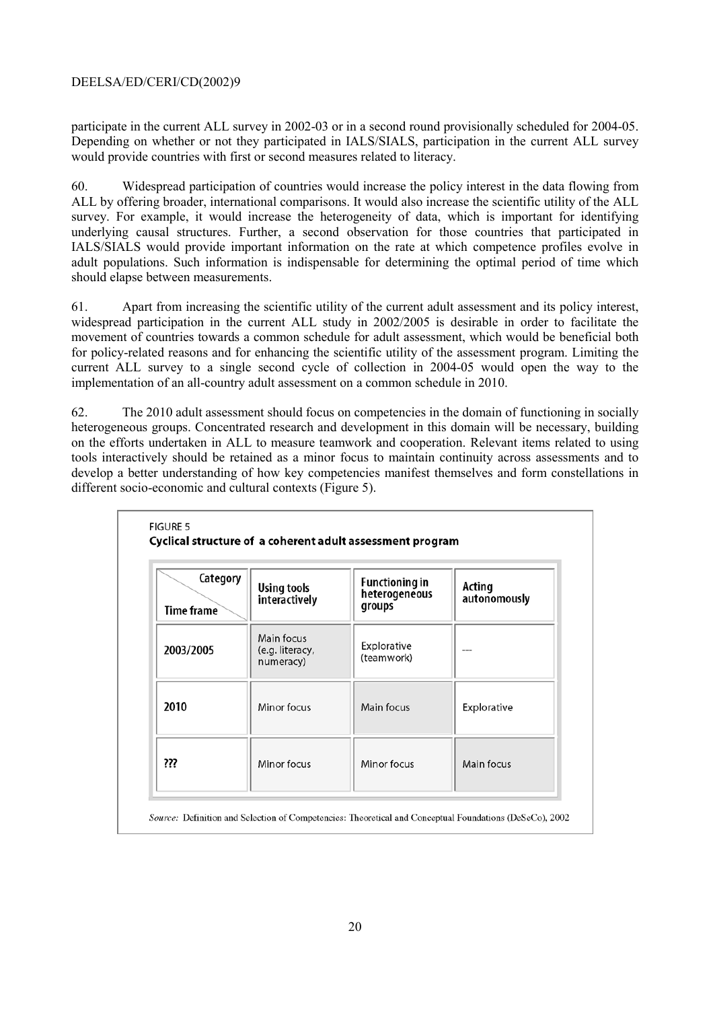participate in the current ALL survey in 2002-03 or in a second round provisionally scheduled for 2004-05. Depending on whether or not they participated in IALS/SIALS, participation in the current ALL survey would provide countries with first or second measures related to literacy.

Widespread participation of countries would increase the policy interest in the data flowing from  $60<sub>1</sub>$ ALL by offering broader, international comparisons. It would also increase the scientific utility of the ALL survey. For example, it would increase the heterogeneity of data, which is important for identifying underlying causal structures. Further, a second observation for those countries that participated in IALS/SIALS would provide important information on the rate at which competence profiles evolve in adult populations. Such information is indispensable for determining the optimal period of time which should elapse between measurements.

61. Apart from increasing the scientific utility of the current adult assessment and its policy interest, widespread participation in the current ALL study in 2002/2005 is desirable in order to facilitate the movement of countries towards a common schedule for adult assessment, which would be beneficial both for policy-related reasons and for enhancing the scientific utility of the assessment program. Limiting the current ALL survey to a single second cycle of collection in 2004-05 would open the way to the implementation of an all-country adult assessment on a common schedule in 2010.

62. The 2010 adult assessment should focus on competencies in the domain of functioning in socially heterogeneous groups. Concentrated research and development in this domain will be necessary, building on the efforts undertaken in ALL to measure teamwork and cooperation. Relevant items related to using tools interactively should be retained as a minor focus to maintain continuity across assessments and to develop a better understanding of how key competencies manifest themselves and form constellations in different socio-economic and cultural contexts (Figure 5).

| Category<br>Time frame | <b>Using tools</b><br>interactively        | <b>Functioning in</b><br>heterogeneous<br>groups | Acting<br>autonomously |
|------------------------|--------------------------------------------|--------------------------------------------------|------------------------|
| 2003/2005              | Main focus<br>(e.g. literacy,<br>numeracy) | Explorative<br>(teamwork)                        |                        |
| 2010                   | Minor focus                                | Main focus                                       | Explorative            |
| ???                    | Minor focus                                | Minor focus                                      | Main focus             |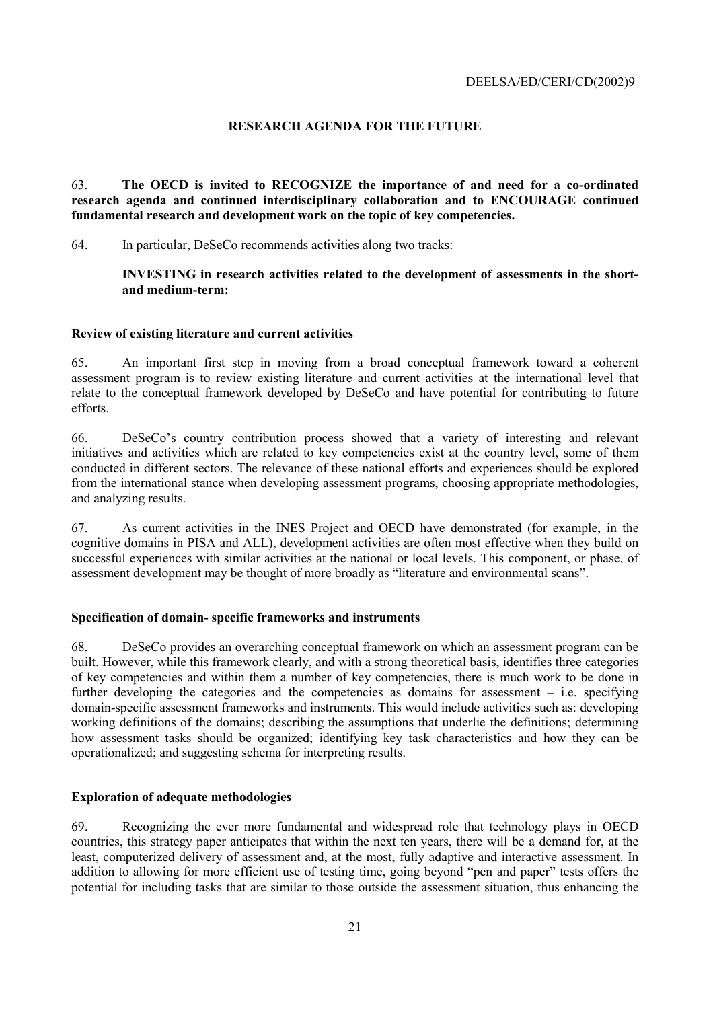# **RESEARCH AGENDA FOR THE FUTURE**

The OECD is invited to RECOGNIZE the importance of and need for a co-ordinated 63 research agenda and continued interdisciplinary collaboration and to ENCOURAGE continued fundamental research and development work on the topic of key competencies.

In particular, DeSeCo recommends activities along two tracks: 64.

> INVESTING in research activities related to the development of assessments in the shortand medium-term:

### Review of existing literature and current activities

65 An important first step in moving from a broad conceptual framework toward a coherent assessment program is to review existing literature and current activities at the international level that relate to the conceptual framework developed by DeSeCo and have potential for contributing to future efforts

66. DeSeCo's country contribution process showed that a variety of interesting and relevant initiatives and activities which are related to key competencies exist at the country level, some of them conducted in different sectors. The relevance of these national efforts and experiences should be explored from the international stance when developing assessment programs, choosing appropriate methodologies, and analyzing results.

As current activities in the INES Project and OECD have demonstrated (for example, in the 67 cognitive domains in PISA and ALL), development activities are often most effective when they build on successful experiences with similar activities at the national or local levels. This component, or phase, of assessment development may be thought of more broadly as "literature and environmental scans".

### Specification of domain-specific frameworks and instruments

68. DeSeCo provides an overarching conceptual framework on which an assessment program can be built. However, while this framework clearly, and with a strong theoretical basis, identifies three categories of key competencies and within them a number of key competencies, there is much work to be done in further developing the categories and the competencies as domains for assessment  $-$  i.e. specifying domain-specific assessment frameworks and instruments. This would include activities such as: developing working definitions of the domains; describing the assumptions that underlie the definitions; determining how assessment tasks should be organized; identifying key task characteristics and how they can be operationalized; and suggesting schema for interpreting results.

### **Exploration of adequate methodologies**

69. Recognizing the ever more fundamental and widespread role that technology plays in OECD countries, this strategy paper anticipates that within the next ten years, there will be a demand for, at the least, computerized delivery of assessment and, at the most, fully adaptive and interactive assessment. In addition to allowing for more efficient use of testing time, going beyond "pen and paper" tests offers the potential for including tasks that are similar to those outside the assessment situation, thus enhancing the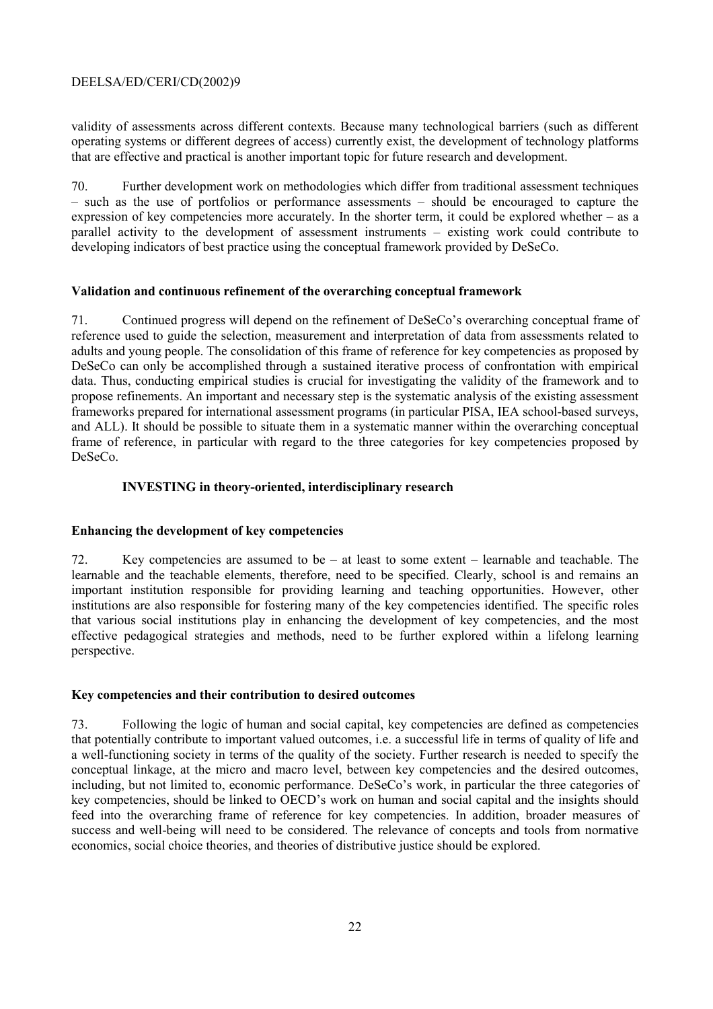validity of assessments across different contexts. Because many technological barriers (such as different operating systems or different degrees of access) currently exist, the development of technology platforms that are effective and practical is another important topic for future research and development.

70 Further development work on methodologies which differ from traditional assessment techniques - such as the use of portfolios or performance assessments - should be encouraged to capture the expression of key competencies more accurately. In the shorter term, it could be explored whether  $-$  as a parallel activity to the development of assessment instruments – existing work could contribute to developing indicators of best practice using the conceptual framework provided by DeSeCo.

### Validation and continuous refinement of the overarching conceptual framework

Continued progress will depend on the refinement of DeSeCo's overarching conceptual frame of 71. reference used to guide the selection, measurement and interpretation of data from assessments related to adults and young people. The consolidation of this frame of reference for key competencies as proposed by DeSeCo can only be accomplished through a sustained iterative process of confrontation with empirical data. Thus, conducting empirical studies is crucial for investigating the validity of the framework and to propose refinements. An important and necessary step is the systematic analysis of the existing assessment frameworks prepared for international assessment programs (in particular PISA, IEA school-based surveys, and ALL). It should be possible to situate them in a systematic manner within the overarching conceptual frame of reference, in particular with regard to the three categories for key competencies proposed by  $DeSeCo$ 

### **INVESTING** in theory-oriented, interdisciplinary research

# Enhancing the development of key competencies

Key competencies are assumed to be  $-$  at least to some extent  $-$  learnable and teachable. The 72. learnable and the teachable elements, therefore, need to be specified. Clearly, school is and remains an important institution responsible for providing learning and teaching opportunities. However, other institutions are also responsible for fostering many of the key competencies identified. The specific roles that various social institutions play in enhancing the development of key competencies, and the most effective pedagogical strategies and methods, need to be further explored within a lifelong learning perspective.

### Key competencies and their contribution to desired outcomes

73. Following the logic of human and social capital, key competencies are defined as competencies that potentially contribute to important valued outcomes, i.e. a successful life in terms of quality of life and a well-functioning society in terms of the quality of the society. Further research is needed to specify the conceptual linkage, at the micro and macro level, between key competencies and the desired outcomes, including, but not limited to, economic performance. DeSeCo's work, in particular the three categories of key competencies, should be linked to OECD's work on human and social capital and the insights should feed into the overarching frame of reference for key competencies. In addition, broader measures of success and well-being will need to be considered. The relevance of concepts and tools from normative economics, social choice theories, and theories of distributive justice should be explored.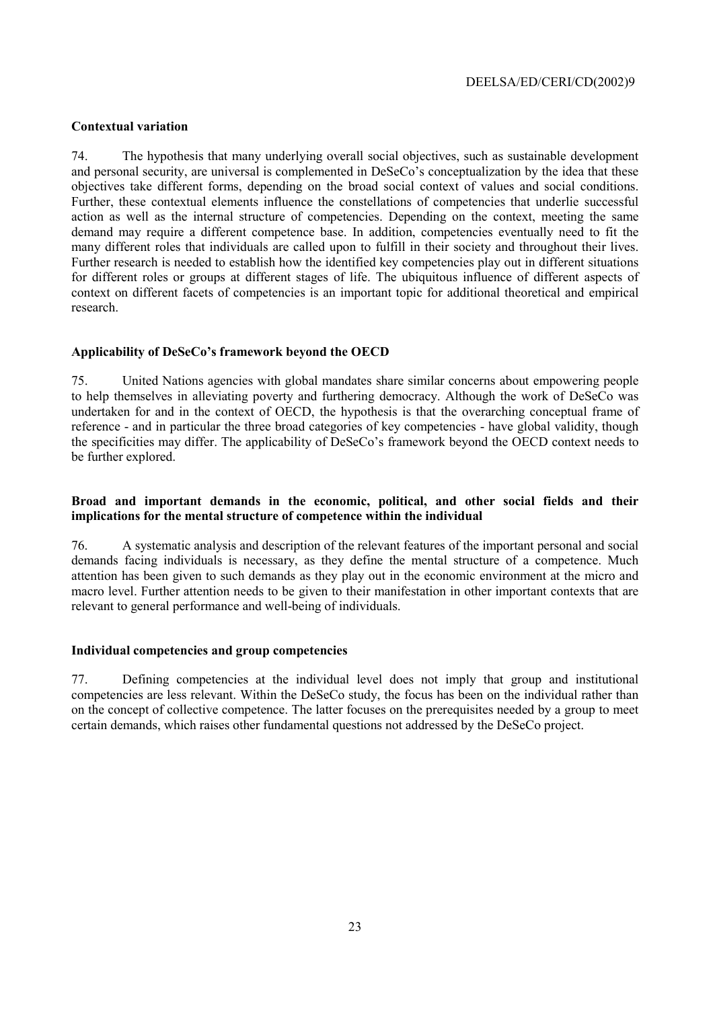### **Contextual variation**

The hypothesis that many underlying overall social objectives, such as sustainable development 74 and personal security, are universal is complemented in DeSeCo's conceptualization by the idea that these objectives take different forms, depending on the broad social context of values and social conditions. Further, these contextual elements influence the constellations of competencies that underlie successful action as well as the internal structure of competencies. Depending on the context, meeting the same demand may require a different competence base. In addition, competencies eventually need to fit the many different roles that individuals are called upon to fulfill in their society and throughout their lives. Further research is needed to establish how the identified key competencies play out in different situations for different roles or groups at different stages of life. The ubiquitous influence of different aspects of context on different facets of competencies is an important topic for additional theoretical and empirical research

#### Applicability of DeSeCo's framework beyond the OECD

75. United Nations agencies with global mandates share similar concerns about empowering people to help themselves in alleviating poverty and furthering democracy. Although the work of DeSeCo was undertaken for and in the context of OECD, the hypothesis is that the overarching conceptual frame of reference - and in particular the three broad categories of key competencies - have global validity, though the specificities may differ. The applicability of DeSeCo's framework beyond the OECD context needs to be further explored.

#### Broad and important demands in the economic, political, and other social fields and their implications for the mental structure of competence within the individual

76. A systematic analysis and description of the relevant features of the important personal and social demands facing individuals is necessary, as they define the mental structure of a competence. Much attention has been given to such demands as they play out in the economic environment at the micro and macro level. Further attention needs to be given to their manifestation in other important contexts that are relevant to general performance and well-being of individuals.

#### Individual competencies and group competencies

77. Defining competencies at the individual level does not imply that group and institutional competencies are less relevant. Within the DeSeCo study, the focus has been on the individual rather than on the concept of collective competence. The latter focuses on the prerequisites needed by a group to meet certain demands, which raises other fundamental questions not addressed by the DeSeCo project.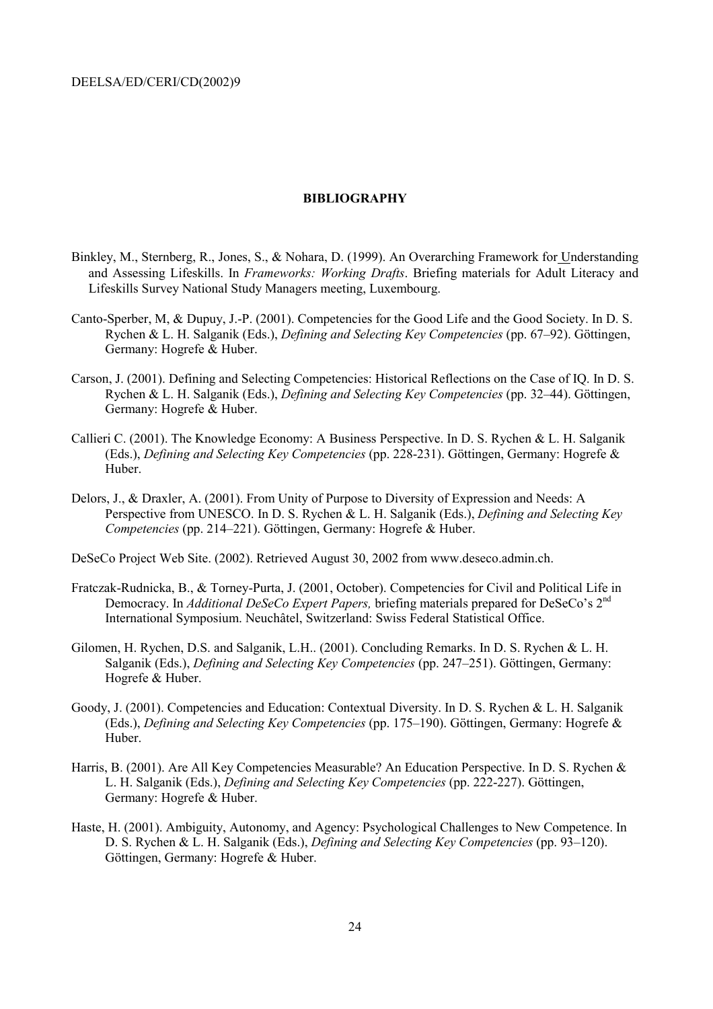#### **BIBLIOGRAPHY**

- Binkley, M., Sternberg, R., Jones, S., & Nohara, D. (1999). An Overarching Framework for Understanding and Assessing Lifeskills. In Frameworks: Working Drafts. Briefing materials for Adult Literacy and Lifeskills Survey National Study Managers meeting, Luxembourg.
- Canto-Sperber, M, & Dupuy, J.-P. (2001). Competencies for the Good Life and the Good Society. In D. S. Rychen & L. H. Salganik (Eds.), *Defining and Selecting Key Competencies* (pp. 67–92). Göttingen, Germany: Hogrefe & Huber.
- Carson, J. (2001). Defining and Selecting Competencies: Historical Reflections on the Case of IQ. In D. S. Rychen & L. H. Salganik (Eds.), *Defining and Selecting Key Competencies* (pp. 32–44). Göttingen, Germany: Hogrefe & Huber.
- Callieri C. (2001). The Knowledge Economy: A Business Perspective. In D. S. Rychen & L. H. Salganik (Eds.), Defining and Selecting Key Competencies (pp. 228-231). Göttingen, Germany: Hogrefe & Huber.
- Delors, J., & Draxler, A. (2001). From Unity of Purpose to Diversity of Expression and Needs: A Perspective from UNESCO. In D. S. Rychen & L. H. Salganik (Eds.), Defining and Selecting Key Competencies (pp. 214–221). Göttingen, Germany: Hogrefe & Huber.

DeSeCo Project Web Site. (2002). Retrieved August 30, 2002 from www.deseco.admin.ch.

- Fratczak-Rudnicka, B., & Torney-Purta, J. (2001, October). Competencies for Civil and Political Life in Democracy. In Additional DeSeCo Expert Papers, briefing materials prepared for DeSeCo's 2<sup>nd</sup> International Symposium, Neuchâtel, Switzerland: Swiss Federal Statistical Office.
- Gilomen, H. Rychen, D.S. and Salganik, L.H.. (2001). Concluding Remarks. In D. S. Rychen & L. H. Salganik (Eds.), *Defining and Selecting Key Competencies* (pp. 247–251). Göttingen, Germany: Hogrefe & Huber.
- Goody, J. (2001). Competencies and Education: Contextual Diversity. In D. S. Rychen & L. H. Salganik (Eds.), *Defining and Selecting Key Competencies* (pp. 175–190). Göttingen, Germany: Hogrefe & Huber.
- Harris, B. (2001). Are All Key Competencies Measurable? An Education Perspective. In D. S. Rychen & L. H. Salganik (Eds.), *Defining and Selecting Key Competencies* (pp. 222-227). Göttingen, Germany: Hogrefe & Huber.
- Haste, H. (2001). Ambiguity, Autonomy, and Agency: Psychological Challenges to New Competence. In D. S. Rychen & L. H. Salganik (Eds.), *Defining and Selecting Key Competencies* (pp. 93–120). Göttingen, Germany: Hogrefe & Huber.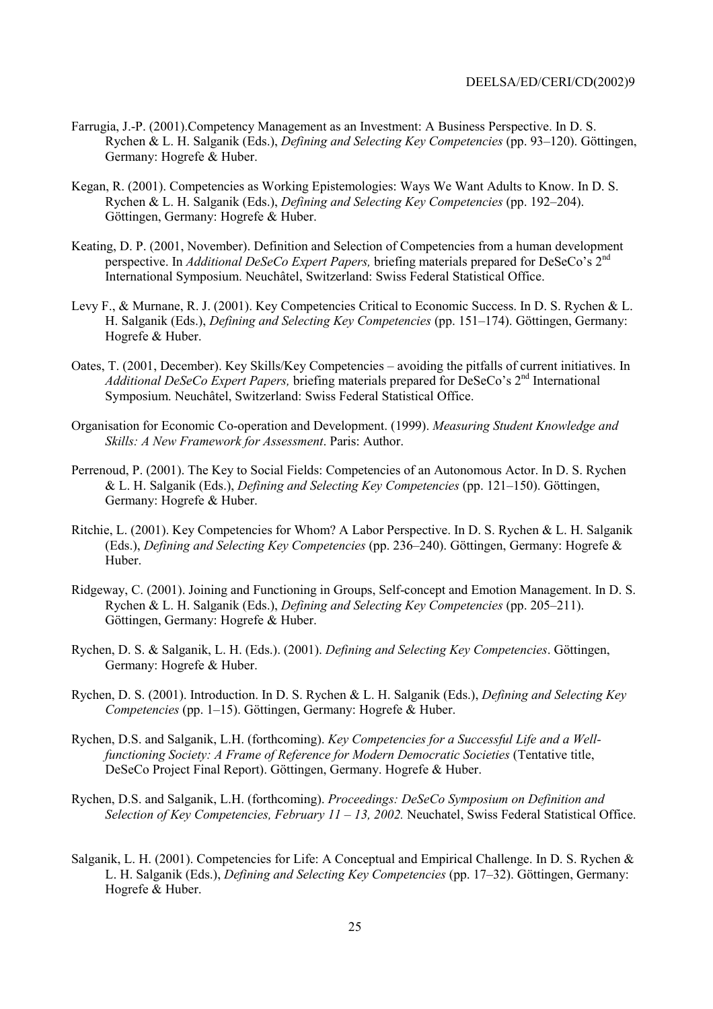- Farrugia, J.-P. (2001). Competency Management as an Investment: A Business Perspective. In D. S. Rychen & L. H. Salganik (Eds.). Defining and Selecting Key Competencies (pp. 93–120). Göttingen. Germany: Hogrefe & Huber.
- Kegan, R. (2001). Competencies as Working Epistemologies: Ways We Want Adults to Know. In D. S. Rychen & L. H. Salganik (Eds.), Defining and Selecting Key Competencies (pp. 192-204). Göttingen, Germany: Hogrefe & Huber.
- Keating, D. P. (2001, November). Definition and Selection of Competencies from a human development perspective. In Additional DeSeCo Expert Papers, briefing materials prepared for DeSeCo's 2<sup>nd</sup> International Symposium. Neuchâtel, Switzerland: Swiss Federal Statistical Office.
- Levy F., & Murnane, R. J. (2001). Key Competencies Critical to Economic Success. In D. S. Rychen & L. H. Salganik (Eds.), *Defining and Selecting Key Competencies* (pp. 151–174). Göttingen, Germany: Hogrefe & Huber.
- Oates, T. (2001, December). Key Skills/Key Competencies avoiding the pitfalls of current initiatives. In *Additional DeSeCo Expert Papers,* briefing materials prepared for DeSeCo's  $2<sup>nd</sup>$  International Symposium, Neuchâtel, Switzerland: Swiss Federal Statistical Office.
- Organisation for Economic Co-operation and Development. (1999). Measuring Student Knowledge and Skills: A New Framework for Assessment. Paris: Author.
- Perrenoud, P. (2001). The Key to Social Fields: Competencies of an Autonomous Actor. In D. S. Rychen & L. H. Salganik (Eds.). *Defining and Selecting Key Competencies* (pp. 121–150). Göttingen. Germany: Hogrefe & Huber.
- Ritchie, L. (2001). Key Competencies for Whom? A Labor Perspective. In D. S. Rychen & L. H. Salganik (Eds.), Defining and Selecting Key Competencies (pp. 236–240). Göttingen, Germany: Hogrefe & Huber.
- Ridgeway, C. (2001). Joining and Functioning in Groups, Self-concept and Emotion Management. In D. S. Rychen & L. H. Salganik (Eds.), *Defining and Selecting Key Competencies* (pp. 205–211). Göttingen, Germany: Hogrefe & Huber.
- Rychen, D. S. & Salganik, L. H. (Eds.). (2001). Defining and Selecting Key Competencies. Göttingen, Germany: Hogrefe & Huber.
- Rychen, D. S. (2001). Introduction. In D. S. Rychen & L. H. Salganik (Eds.), *Defining and Selecting Key* Competencies (pp. 1–15). Göttingen, Germany: Hogrefe & Huber.
- Rychen, D.S. and Salganik, L.H. (forthcoming). Key Competencies for a Successful Life and a Wellfunctioning Society: A Frame of Reference for Modern Democratic Societies (Tentative title, DeSeCo Project Final Report). Göttingen, Germany. Hogrefe & Huber.
- Rychen, D.S. and Salganik, L.H. (forthcoming). Proceedings: DeSeCo Symposium on Definition and Selection of Key Competencies, February  $11 - 13$ , 2002. Neuchatel, Swiss Federal Statistical Office.
- Salganik, L. H. (2001). Competencies for Life: A Conceptual and Empirical Challenge. In D. S. Rychen & L. H. Salganik (Eds.), *Defining and Selecting Key Competencies* (pp. 17–32). Göttingen, Germany: Hogrefe & Huber.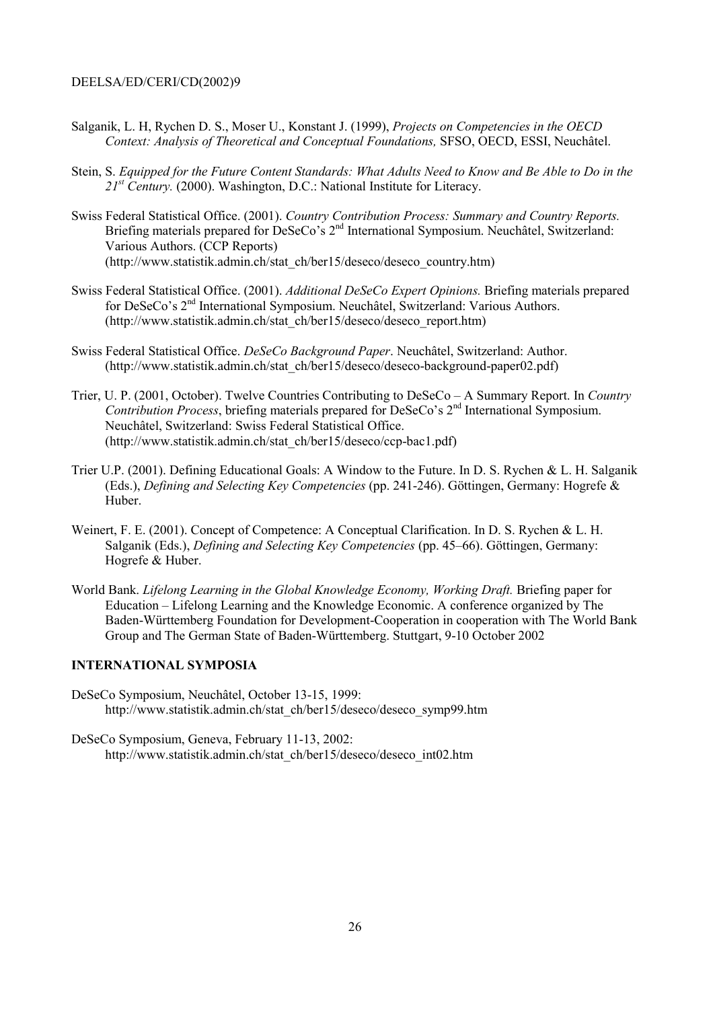- Salganik, L. H. Rychen D. S., Moser U., Konstant J. (1999), *Projects on Competencies in the OECD* Context: Analysis of Theoretical and Conceptual Foundations, SFSO, OECD, ESSI, Neuchâtel.
- Stein, S. Equipped for the Future Content Standards: What Adults Need to Know and Be Able to Do in the  $21^{st}$  Century. (2000). Washington, D.C.: National Institute for Literacy.
- Swiss Federal Statistical Office. (2001). Country Contribution Process: Summary and Country Reports. Briefing materials prepared for DeSeCo's 2<sup>nd</sup> International Symposium. Neuchâtel, Switzerland: Various Authors. (CCP Reports) (http://www.statistik.admin.ch/stat\_ch/ber15/deseco/deseco\_country.htm)
- Swiss Federal Statistical Office. (2001). Additional DeSeCo Expert Opinions. Briefing materials prepared for DeSeCo's 2<sup>nd</sup> International Symposium. Neuchâtel, Switzerland: Various Authors. (http://www.statistik.admin.ch/stat\_ch/ber15/deseco/deseco\_report.htm)
- Swiss Federal Statistical Office. DeSeCo Background Paper. Neuchâtel, Switzerland: Author. (http://www.statistik.admin.ch/stat\_ch/ber15/deseco/deseco-background-paper02.pdf)
- Trier, U. P. (2001, October). Twelve Countries Contributing to DeSeCo A Summary Report. In Country Contribution Process, briefing materials prepared for DeSeCo's 2<sup>nd</sup> International Symposium. Neuchâtel, Switzerland: Swiss Federal Statistical Office. (http://www.statistik.admin.ch/stat\_ch/ber15/deseco/ccp-bac1.pdf)
- Trier U.P. (2001). Defining Educational Goals: A Window to the Future. In D. S. Rychen & L. H. Salganik (Eds.). Defining and Selecting Key Competencies (pp. 241-246). Göttingen, Germany: Hogrefe & Huber.
- Weinert, F. E. (2001). Concept of Competence: A Conceptual Clarification. In D. S. Rychen & L. H. Salganik (Eds.), *Defining and Selecting Key Competencies* (pp. 45–66). Göttingen, Germany: Hogrefe & Huber.
- World Bank. Lifelong Learning in the Global Knowledge Economy, Working Draft. Briefing paper for Education – Lifelong Learning and the Knowledge Economic. A conference organized by The Baden-Württemberg Foundation for Development-Cooperation in cooperation with The World Bank Group and The German State of Baden-Württemberg. Stuttgart, 9-10 October 2002

#### **INTERNATIONAL SYMPOSIA**

- DeSeCo Symposium, Neuchâtel, October 13-15, 1999: http://www.statistik.admin.ch/stat\_ch/ber15/deseco/deseco\_symp99.htm
- DeSeCo Symposium, Geneva, February 11-13, 2002: http://www.statistik.admin.ch/stat\_ch/ber15/deseco/deseco\_int02.htm